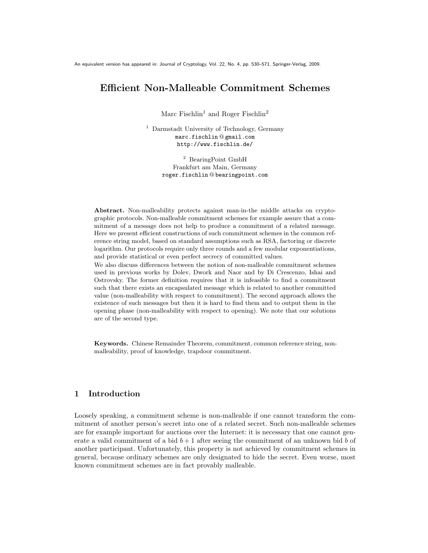# Efficient Non-Malleable Commitment Schemes

Marc Fischlin<sup>1</sup> and Roger Fischlin<sup>2</sup>

<sup>1</sup> Darmstadt University of Technology, Germany marc.fischlin @ gmail.com http://www.fischlin.de/

> <sup>2</sup> BearingPoint GmbH Frankfurt am Main, Germany roger.fischlin @ bearingpoint.com

Abstract. Non-malleability protects against man-in-the middle attacks on cryptographic protocols. Non-malleable commitment schemes for example assure that a commitment of a message does not help to produce a commitment of a related message. Here we present efficient constructions of such commitment schemes in the common reference string model, based on standard assumptions such as RSA, factoring or discrete logarithm. Our protocols require only three rounds and a few modular exponentiations, and provide statistical or even perfect secrecy of committed values.

We also discuss differences between the notion of non-malleable commitment schemes used in previous works by Dolev, Dwork and Naor and by Di Crescenzo, Ishai and Ostrovsky. The former definition requires that it is infeasible to find a commitment such that there exists an encapsulated message which is related to another committed value (non-malleability with respect to commitment). The second approach allows the existence of such messages but then it is hard to find them and to output them in the opening phase (non-malleability with respect to opening). We note that our solutions are of the second type.

Keywords. Chinese Remainder Theorem, commitment, common reference string, nonmalleability, proof of knowledge, trapdoor commitment.

# 1 Introduction

Loosely speaking, a commitment scheme is non-malleable if one cannot transform the commitment of another person's secret into one of a related secret. Such non-malleable schemes are for example important for auctions over the Internet: it is necessary that one cannot generate a valid commitment of a bid  $b + 1$  after seeing the commitment of an unknown bid b of another participant. Unfortunately, this property is not achieved by commitment schemes in general, because ordinary schemes are only designated to hide the secret. Even worse, most known commitment schemes are in fact provably malleable.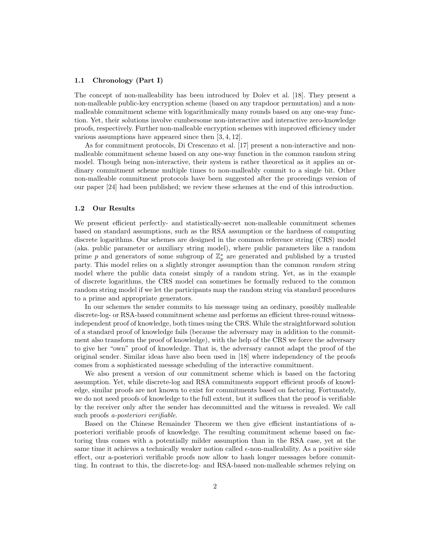### 1.1 Chronology (Part I)

The concept of non-malleability has been introduced by Dolev et al. [18]. They present a non-malleable public-key encryption scheme (based on any trapdoor permutation) and a nonmalleable commitment scheme with logarithmically many rounds based on any one-way function. Yet, their solutions involve cumbersome non-interactive and interactive zero-knowledge proofs, respectively. Further non-malleable encryption schemes with improved efficiency under various assumptions have appeared since then [3, 4, 12].

As for commitment protocols, Di Crescenzo et al. [17] present a non-interactive and nonmalleable commitment scheme based on any one-way function in the common random string model. Though being non-interactive, their system is rather theoretical as it applies an ordinary commitment scheme multiple times to non-malleably commit to a single bit. Other non-malleable commitment protocols have been suggested after the proceedings version of our paper [24] had been published; we review these schemes at the end of this introduction.

#### 1.2 Our Results

We present efficient perfectly- and statistically-secret non-malleable commitment schemes based on standard assumptions, such as the RSA assumption or the hardness of computing discrete logarithms. Our schemes are designed in the common reference string (CRS) model (aka. public parameter or auxiliary string model), where public parameters like a random prime p and generators of some subgroup of  $\mathbb{Z}_p^*$  are generated and published by a trusted party. This model relies on a slightly stronger assumption than the common random string model where the public data consist simply of a random string. Yet, as in the example of discrete logarithms, the CRS model can sometimes be formally reduced to the common random string model if we let the participants map the random string via standard procedures to a prime and appropriate generators.

In our schemes the sender commits to his message using an ordinary, possibly malleable discrete-log- or RSA-based commitment scheme and performs an efficient three-round witnessindependent proof of knowledge, both times using the CRS. While the straightforward solution of a standard proof of knowledge fails (because the adversary may in addition to the commitment also transform the proof of knowledge), with the help of the CRS we force the adversary to give her "own" proof of knowledge. That is, the adversary cannot adapt the proof of the original sender. Similar ideas have also been used in [18] where independency of the proofs comes from a sophisticated message scheduling of the interactive commitment.

We also present a version of our commitment scheme which is based on the factoring assumption. Yet, while discrete-log and RSA commitments support efficient proofs of knowledge, similar proofs are not known to exist for commitments based on factoring. Fortunately, we do not need proofs of knowledge to the full extent, but it suffices that the proof is verifiable by the receiver only after the sender has decommitted and the witness is revealed. We call such proofs a-posteriori verifiable.

Based on the Chinese Remainder Theorem we then give efficient instantiations of aposteriori verifiable proofs of knowledge. The resulting commitment scheme based on factoring thus comes with a potentially milder assumption than in the RSA case, yet at the same time it achieves a technically weaker notion called  $\epsilon$ -non-malleability. As a positive side effect, our a-posteriori verifiable proofs now allow to hash longer messages before committing. In contrast to this, the discrete-log- and RSA-based non-malleable schemes relying on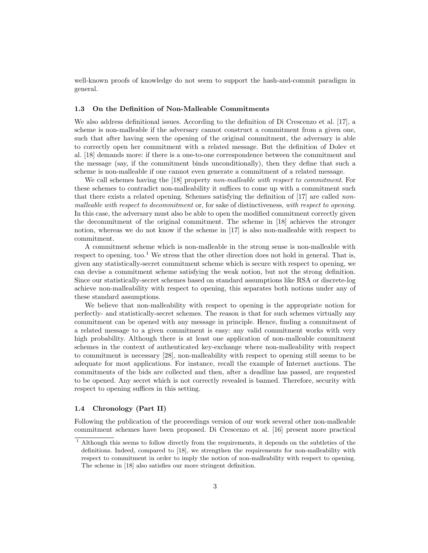well-known proofs of knowledge do not seem to support the hash-and-commit paradigm in general.

#### 1.3 On the Definition of Non-Malleable Commitments

We also address definitional issues. According to the definition of Di Crescenzo et al. [17], a scheme is non-malleable if the adversary cannot construct a commitment from a given one, such that after having seen the opening of the original commitment, the adversary is able to correctly open her commitment with a related message. But the definition of Dolev et al. [18] demands more: if there is a one-to-one correspondence between the commitment and the message (say, if the commitment binds unconditionally), then they define that such a scheme is non-malleable if one cannot even generate a commitment of a related message.

We call schemes having the [18] property non-malleable with respect to commitment. For these schemes to contradict non-malleability it suffices to come up with a commitment such that there exists a related opening. Schemes satisfying the definition of [17] are called nonmalleable with respect to decommitment or, for sake of distinctiveness, with respect to opening. In this case, the adversary must also be able to open the modified commitment correctly given the decommitment of the original commitment. The scheme in [18] achieves the stronger notion, whereas we do not know if the scheme in [17] is also non-malleable with respect to commitment.

A commitment scheme which is non-malleable in the strong sense is non-malleable with respect to opening, too.<sup>1</sup> We stress that the other direction does not hold in general. That is, given any statistically-secret commitment scheme which is secure with respect to opening, we can devise a commitment scheme satisfying the weak notion, but not the strong definition. Since our statistically-secret schemes based on standard assumptions like RSA or discrete-log achieve non-malleability with respect to opening, this separates both notions under any of these standard assumptions.

We believe that non-malleability with respect to opening is the appropriate notion for perfectly- and statistically-secret schemes. The reason is that for such schemes virtually any commitment can be opened with any message in principle. Hence, finding a commitment of a related message to a given commitment is easy: any valid commitment works with very high probability. Although there is at least one application of non-malleable commitment schemes in the context of authenticated key-exchange where non-malleability with respect to commitment is necessary [28], non-malleability with respect to opening still seems to be adequate for most applications. For instance, recall the example of Internet auctions. The commitments of the bids are collected and then, after a deadline has passed, are requested to be opened. Any secret which is not correctly revealed is banned. Therefore, security with respect to opening suffices in this setting.

#### 1.4 Chronology (Part II)

Following the publication of the proceedings version of our work several other non-malleable commitment schemes have been proposed. Di Crescenzo et al. [16] present more practical

<sup>1</sup> Although this seems to follow directly from the requirements, it depends on the subtleties of the definitions. Indeed, compared to [18], we strengthen the requirements for non-malleability with respect to commitment in order to imply the notion of non-malleability with respect to opening. The scheme in [18] also satisfies our more stringent definition.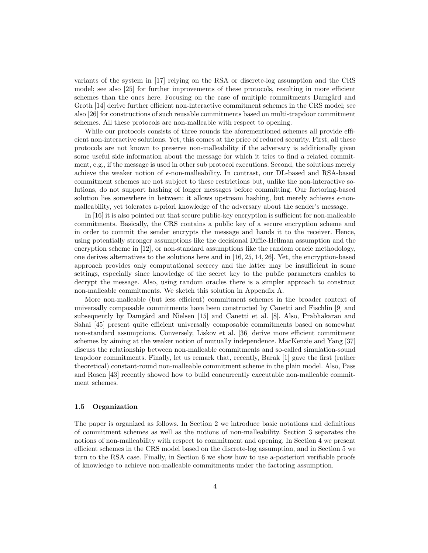variants of the system in [17] relying on the RSA or discrete-log assumption and the CRS model; see also [25] for further improvements of these protocols, resulting in more efficient schemes than the ones here. Focusing on the case of multiple commitments Damgård and Groth [14] derive further efficient non-interactive commitment schemes in the CRS model; see also [26] for constructions of such reusable commitments based on multi-trapdoor commitment schemes. All these protocols are non-malleable with respect to opening.

While our protocols consists of three rounds the aforementioned schemes all provide efficient non-interactive solutions. Yet, this comes at the price of reduced security. First, all these protocols are not known to preserve non-malleability if the adversary is additionally given some useful side information about the message for which it tries to find a related commitment, e.g., if the message is used in other sub protocol executions. Second, the solutions merely achieve the weaker notion of  $\epsilon$ -non-malleability. In contrast, our DL-based and RSA-based commitment schemes are not subject to these restrictions but, unlike the non-interactive solutions, do not support hashing of longer messages before committing. Our factoring-based solution lies somewhere in between: it allows upstream hashing, but merely achieves  $\epsilon$ -nonmalleability, yet tolerates a-priori knowledge of the adversary about the sender's message.

In [16] it is also pointed out that secure public-key encryption is sufficient for non-malleable commitments. Basically, the CRS contains a public key of a secure encryption scheme and in order to commit the sender encrypts the message and hands it to the receiver. Hence, using potentially stronger assumptions like the decisional Diffie-Hellman assumption and the encryption scheme in [12], or non-standard assumptions like the random oracle methodology, one derives alternatives to the solutions here and in [16, 25, 14, 26]. Yet, the encryption-based approach provides only computational secrecy and the latter may be insufficient in some settings, especially since knowledge of the secret key to the public parameters enables to decrypt the message. Also, using random oracles there is a simpler approach to construct non-malleable commitments. We sketch this solution in Appendix A.

More non-malleable (but less efficient) commitment schemes in the broader context of universally composable commitments have been constructed by Canetti and Fischlin [9] and subsequently by Damgård and Nielsen [15] and Canetti et al. [8]. Also, Prabhakaran and Sahai [45] present quite efficient universally composable commitments based on somewhat non-standard assumptions. Conversely, Liskov et al. [36] derive more efficient commitment schemes by aiming at the weaker notion of mutually independence. MacKenzie and Yang [37] discuss the relationship between non-malleable commitments and so-called simulation-sound trapdoor commitments. Finally, let us remark that, recently, Barak [1] gave the first (rather theoretical) constant-round non-malleable commitment scheme in the plain model. Also, Pass and Rosen [43] recently showed how to build concurrently executable non-malleable commitment schemes.

#### 1.5 Organization

The paper is organized as follows. In Section 2 we introduce basic notations and definitions of commitment schemes as well as the notions of non-malleability. Section 3 separates the notions of non-malleability with respect to commitment and opening. In Section 4 we present efficient schemes in the CRS model based on the discrete-log assumption, and in Section 5 we turn to the RSA case. Finally, in Section 6 we show how to use a-posteriori verifiable proofs of knowledge to achieve non-malleable commitments under the factoring assumption.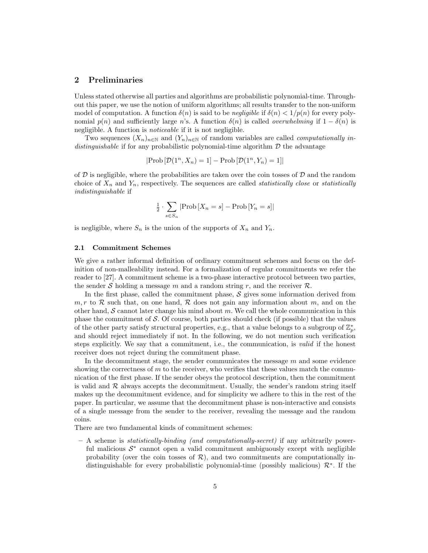# 2 Preliminaries

Unless stated otherwise all parties and algorithms are probabilistic polynomial-time. Throughout this paper, we use the notion of uniform algorithms; all results transfer to the non-uniform model of computation. A function  $\delta(n)$  is said to be *negligible* if  $\delta(n) < 1/p(n)$  for every polynomial  $p(n)$  and sufficiently large n's. A function  $\delta(n)$  is called *overwhelming* if  $1 - \delta(n)$  is negligible. A function is noticeable if it is not negligible.

Two sequences  $(X_n)_{n\in\mathbb{N}}$  and  $(Y_n)_{n\in\mathbb{N}}$  of random variables are called *computationally in*distinguishable if for any probabilistic polynomial-time algorithm  $\mathcal D$  the advantage

$$
|\mathrm{Prob}\left[\mathcal{D}(1^n, X_n) = 1\right] - \mathrm{Prob}\left[\mathcal{D}(1^n, Y_n) = 1\right]|
$$

of  $D$  is negligible, where the probabilities are taken over the coin tosses of  $D$  and the random choice of  $X_n$  and  $Y_n$ , respectively. The sequences are called *statistically close* or *statistically* indistinguishable if

$$
\frac{1}{2} \cdot \sum_{s \in S_n} |\text{Prob}\left[X_n = s\right] - \text{Prob}\left[Y_n = s\right]|
$$

is negligible, where  $S_n$  is the union of the supports of  $X_n$  and  $Y_n$ .

#### 2.1 Commitment Schemes

We give a rather informal definition of ordinary commitment schemes and focus on the definition of non-malleability instead. For a formalization of regular commitments we refer the reader to [27]. A commitment scheme is a two-phase interactive protocol between two parties, the sender S holding a message m and a random string r, and the receiver  $\mathcal{R}$ .

In the first phase, called the commitment phase,  $S$  gives some information derived from  $m, r$  to  $\mathcal R$  such that, on one hand,  $\mathcal R$  does not gain any information about  $m$ , and on the other hand,  $S$  cannot later change his mind about m. We call the whole communication in this phase the commitment of  $S$ . Of course, both parties should check (if possible) that the values of the other party satisfy structural properties, e.g., that a value belongs to a subgroup of  $\mathbb{Z}_p^*$ , and should reject immediately if not. In the following, we do not mention such verification steps explicitly. We say that a commitment, i.e., the communication, is valid if the honest receiver does not reject during the commitment phase.

In the decommitment stage, the sender communicates the message  $m$  and some evidence showing the correctness of  $m$  to the receiver, who verifies that these values match the communication of the first phase. If the sender obeys the protocol description, then the commitment is valid and  $R$  always accepts the decommitment. Usually, the sender's random string itself makes up the decommitment evidence, and for simplicity we adhere to this in the rest of the paper. In particular, we assume that the decommitment phase is non-interactive and consists of a single message from the sender to the receiver, revealing the message and the random coins.

There are two fundamental kinds of commitment schemes:

 $-$  A scheme is *statistically-binding (and computationally-secret)* if any arbitrarily powerful malicious  $S^*$  cannot open a valid commitment ambiguously except with negligible probability (over the coin tosses of  $\mathcal{R}$ ), and two commitments are computationally indistinguishable for every probabilistic polynomial-time (possibly malicious)  $\mathcal{R}^*$ . If the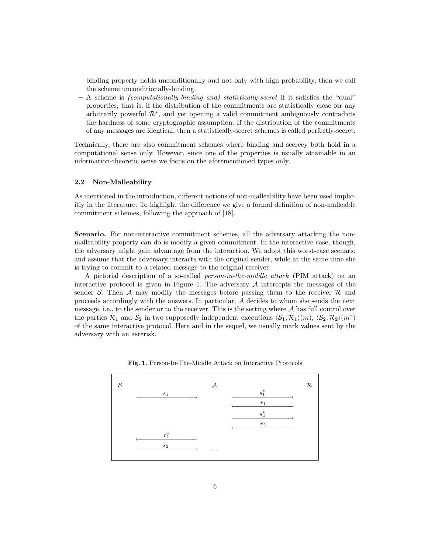binding property holds unconditionally and not only with high probability, then we call the scheme unconditionally-binding.

 $-$  A scheme is *(computationally-binding and) statistically-secret* if it satisfies the "dual" properties, that is, if the distribution of the commitments are statistically close for any arbitrarily powerful  $\mathcal{R}^*$ , and yet opening a valid commitment ambiguously contradicts the hardness of some cryptographic assumption. If the distribution of the commitments of any messages are identical, then a statistically-secret schemes is called perfectly-secret.

Technically, there are also commitment schemes where binding and secrecy both hold in a computational sense only. However, since one of the properties is usually attainable in an information-theoretic sense we focus on the aforementioned types only.

#### 2.2 Non-Malleability

As mentioned in the introduction, different notions of non-malleability have been used implicitly in the literature. To highlight the difference we give a formal definition of non-malleable commitment schemes, following the approach of [18].

Scenario. For non-interactive commitment schemes, all the adversary attacking the nonmalleability property can do is modify a given commitment. In the interactive case, though, the adversary might gain advantage from the interaction. We adopt this worst-case scenario and assume that the adversary interacts with the original sender, while at the same time she is trying to commit to a related message to the original receiver.

A pictorial description of a so-called person-in-the-middle attack (PIM attack) on an interactive protocol is given in Figure 1. The adversary  $A$  intercepts the messages of the sender S. Then A may modify the messages before passing them to the receiver R and proceeds accordingly with the answers. In particular, A decides to whom she sends the next message, i.e., to the sender or to the receiver. This is the setting where  $A$  has full control over the parties  $\mathcal{R}_1$  and  $\mathcal{S}_2$  in two supposedly independent executions  $\langle \mathcal{S}_1, \mathcal{R}_1 \rangle(m)$ ,  $\langle \mathcal{S}_2, \mathcal{R}_2 \rangle(m^*)$ of the same interactive protocol. Here and in the sequel, we usually mark values sent by the adversary with an asterisk.

| $\mathcal{S}_{\mathcal{S}}$ |                              | А        |             | ${\cal R}$ |
|-----------------------------|------------------------------|----------|-------------|------------|
|                             | $\sqrt{s_{1}}$               |          | $s_1^*$     |            |
|                             |                              |          | $r_1$       |            |
|                             |                              |          | $s_2^*$     |            |
|                             |                              |          | $r_{\rm 2}$ |            |
|                             | $r_{\scriptscriptstyle 1}^*$ |          |             |            |
|                             | $\sqrt{s_{2}}$               |          |             |            |
|                             |                              | $\cdots$ |             |            |

Fig. 1. Person-In-The-Middle Attack on Interactive Protocols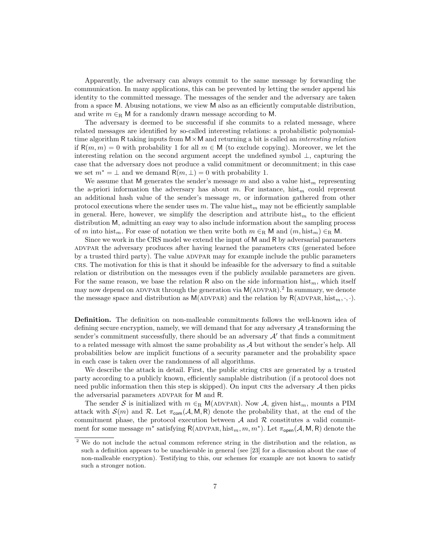Apparently, the adversary can always commit to the same message by forwarding the communication. In many applications, this can be prevented by letting the sender append his identity to the committed message. The messages of the sender and the adversary are taken from a space M. Abusing notations, we view M also as an efficiently computable distribution, and write  $m \in_R M$  for a randomly drawn message according to M.

The adversary is deemed to be successful if she commits to a related message, where related messages are identified by so-called interesting relations: a probabilistic polynomialtime algorithm R taking inputs from  $M \times M$  and returning a bit is called an *interesting relation* if  $R(m, m) = 0$  with probability 1 for all  $m \in M$  (to exclude copying). Moreover, we let the interesting relation on the second argument accept the undefined symbol ⊥, capturing the case that the adversary does not produce a valid commitment or decommitment; in this case we set  $m^* = \perp$  and we demand  $R(m, \perp) = 0$  with probability 1.

We assume that M generates the sender's message m and also a value hist<sub>m</sub> representing the a-priori information the adversary has about m. For instance, hist<sub>m</sub> could represent an additional hash value of the sender's message  $m$ , or information gathered from other protocol executions where the sender uses  $m$ . The value hist<sub>m</sub> may not be efficiently samplable in general. Here, however, we simplify the description and attribute hist<sub>m</sub> to the efficient distribution M, admitting an easy way to also include information about the sampling process of m into hist<sub>m</sub>. For ease of notation we then write both  $m \in_R M$  and  $(m, \text{hist}_m) \in_R M$ .

Since we work in the CRS model we extend the input of M and R by adversarial parameters advpar the adversary produces after having learned the parameters crs (generated before by a trusted third party). The value advpar may for example include the public parameters crs. The motivation for this is that it should be infeasible for the adversary to find a suitable relation or distribution on the messages even if the publicly available parameters are given. For the same reason, we base the relation R also on the side information hist<sub>m</sub>, which itself may now depend on ADVPAR through the generation via  $M(ADVPAR).<sup>2</sup>$  In summary, we denote the message space and distribution as  $M(ADVPAR)$  and the relation by  $R(ADVPAR, hist_m, \cdot, \cdot)$ .

Definition. The definition on non-malleable commitments follows the well-known idea of defining secure encryption, namely, we will demand that for any adversary A transforming the sender's commitment successfully, there should be an adversary  $A'$  that finds a commitment to a related message with almost the same probability as  $A$  but without the sender's help. All probabilities below are implicit functions of a security parameter and the probability space in each case is taken over the randomness of all algorithms.

We describe the attack in detail. First, the public string CRS are generated by a trusted party according to a publicly known, efficiently samplable distribution (if a protocol does not need public information then this step is skipped). On input CRS the adversary  $A$  then picks the adversarial parameters ADVPAR for M and R.

The sender S is initialized with  $m \in_R M$ (ADVPAR). Now A, given hist<sub>m</sub>, mounts a PIM attack with  $\mathcal{S}(m)$  and R. Let  $\pi_{\text{com}}(\mathcal{A}, M, R)$  denote the probability that, at the end of the commitment phase, the protocol execution between  $A$  and  $R$  constitutes a valid commitment for some message  $m^*$  satisfying R(ADVPAR, hist<sub>m</sub>, m, m<sup>\*</sup>). Let  $\pi_{open}(\mathcal{A}, \mathsf{M}, \mathsf{R})$  denote the

<sup>&</sup>lt;sup>2</sup> We do not include the actual commom reference string in the distribution and the relation, as such a definition appears to be unachievable in general (see [23] for a discussion about the case of non-malleable encryption). Testifying to this, our schemes for example are not known to satisfy such a stronger notion.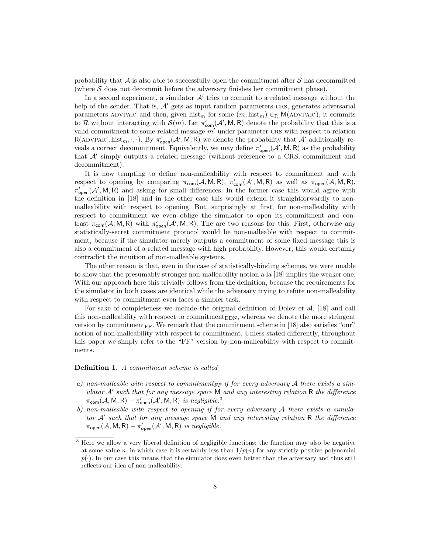probability that  $\mathcal A$  is also able to successfully open the commitment after  $\mathcal S$  has decommitted (where  $S$  does not decommit before the adversary finishes her commitment phase).

In a second experiment, a simulator  $A'$  tries to commit to a related message without the help of the sender. That is,  $\mathcal{A}'$  gets as input random parameters CRS, generates adversarial parameters ADVPAR' and then, given hist<sub>m</sub> for some  $(m, \text{hist}_m) \in_R M(\text{ADVPAR}'),$  it commits to R without interacting with  $\mathcal{S}(m)$ . Let  $\pi'_{\text{com}}(\mathcal{A}', \mathsf{M}, \mathsf{R})$  denote the probability that this is a valid commitment to some related message  $m'$  under parameter CRS with respect to relation  $R(ADVPAR', hist_m, \cdot, \cdot)$ . By  $\pi'_{open}(\mathcal{A}', M, R)$  we denote the probability that  $\mathcal{A}'$  additionally reveals a correct decommitment. Equivalently, we may define  $\pi'_{open}(\mathcal{A}', \mathsf{M}, \mathsf{R})$  as the probability that  $A'$  simply outputs a related message (without reference to a CRS, commitment and decommitment).

It is now tempting to define non-malleability with respect to commitment and with respect to opening by comparing  $\pi_{\text{com}}(\mathcal{A}, \mathsf{M}, \mathsf{R})$ ,  $\pi'_{\text{com}}(\mathcal{A}', \mathsf{M}, \mathsf{R})$  as well as  $\pi_{\text{open}}(\mathcal{A}, \mathsf{M}, \mathsf{R})$ ,  $\pi'_{open}(\mathcal{A}', M, R)$  and asking for small differences. In the former case this would agree with the definition in [18] and in the other case this would extend it straightforwardly to nonmalleability with respect to opening. But, surprisingly at first, for non-malleability with respect to commitment we even oblige the simulator to open its commitment and contrast  $\pi_{\text{com}}(\mathcal{A}, \mathsf{M}, \mathsf{R})$  with  $\pi'_{\text{open}}(\mathcal{A}', \mathsf{M}, \mathsf{R})$ . The are two reasons for this. First, otherwise any statistically-secret commitment protocol would be non-malleable with respect to commitment, because if the simulator merely outputs a commitment of some fixed message this is also a commitment of a related message with high probability. However, this would certainly contradict the intuition of non-malleable systems.

The other reason is that, even in the case of statistically-binding schemes, we were unable to show that the presumably stronger non-malleability notion a la [18] implies the weaker one. With our approach here this trivially follows from the definition, because the requirements for the simulator in both cases are identical while the adversary trying to refute non-malleability with respect to commitment even faces a simpler task.

For sake of completeness we include the original definition of Dolev et al. [18] and call this non-malleability with respect to commitment $_{\text{DDN}}$ , whereas we denote the more stringent version by commitment $_{\text{FF}}$ . We remark that the commitment scheme in [18] also satisfies "our" notion of non-malleability with respect to commitment. Unless stated differently, throughout this paper we simply refer to the "FF" version by non-malleability with respect to commitments.

### Definition 1. A commitment scheme is called

- a) non-malleable with respect to commitment<sub>FF</sub> if for every adversary A there exists a simulator  $A'$  such that for any message space  $M$  and any interesting relation  $R$  the difference  $\pi_{\mathsf{com}}(\mathcal{A}, \mathsf{M}, \mathsf{R}) - \pi_{\mathsf{open}}'(\mathcal{A}', \mathsf{M}, \mathsf{R})$  is negligible.<sup>3</sup>
- b) non-malleable with respect to opening if for every adversary  $A$  there exists a simulator  $A'$  such that for any message space M and any interesting relation R the difference  $\pi_{\text{open}}(\mathcal{A}, \mathsf{M}, \mathsf{R}) - \pi_{\text{open}}'(\mathcal{A}', \mathsf{M}, \mathsf{R})$  is negligible.

<sup>&</sup>lt;sup>3</sup> Here we allow a very liberal definition of negligible functions: the function may also be negative at some value n, in which case it is certainly less than  $1/p(n)$  for any strictly positive polynomial  $p(\cdot)$ . In our case this means that the simulator does even better than the adversary and thus still reflects our idea of non-malleability.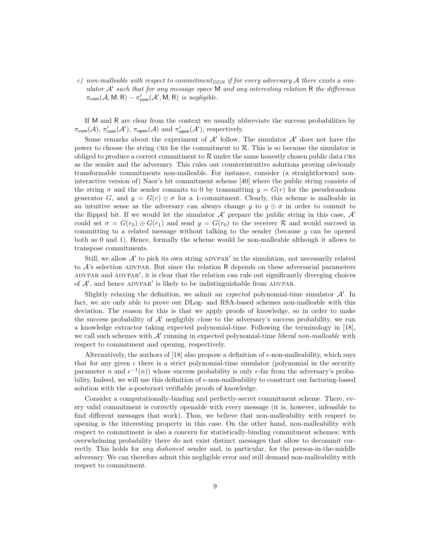c) non-malleable with respect to commitment<sub>DDN</sub> if for every adversary A there exists a simulator  $A'$  such that for any message space  $M$  and any interesting relation  $R$  the difference  $\pi_{\textsf{com}}(\mathcal{A}, \mathsf{M}, \mathsf{R}) - \pi_{\textsf{com}}'(\mathcal{A}', \mathsf{M}, \mathsf{R})$  is negligible.

If M and R are clear from the context we usually abbreviate the success probabilities by  $\pi_{\text{com}}(\mathcal{A}), \pi'_{\text{com}}(\mathcal{A}'), \pi_{\text{open}}(\mathcal{A})$  and  $\pi'_{\text{open}}(\mathcal{A}'),$  respectively.

Some remarks about the experiment of  $\mathcal{A}'$  follow. The simulator  $\mathcal{A}'$  does not have the power to choose the string CRS for the commitment to  $R$ . This is so because the simulator is obliged to produce a correct commitment to  $R$  under the same honestly chosen public data CRS as the sender and the adversary. This rules out counterintuitive solutions proving obviously transformable commitments non-malleable. For instance, consider (a straightforward noninteractive version of) Naor's bit commitment scheme [40] where the public string consists of the string  $\sigma$  and the sender commits to 0 by transmitting  $y = G(r)$  for the pseudorandom generator G, and  $y = G(r) \oplus \sigma$  for a 1-commitment. Clearly, this scheme is malleable in an intuitive sense as the adversary can always change y to  $y \oplus \sigma$  in order to commit to the flipped bit. If we would let the simulator  $\mathcal{A}'$  prepare the public string in this case,  $\mathcal{A}'$ could set  $\sigma = G(r_0) \oplus G(r_1)$  and send  $y = G(r_0)$  to the receiver R and would succeed in committing to a related message without talking to the sender (because y can be opened both as 0 and 1). Hence, formally the scheme would be non-malleable although it allows to transpose commitments.

Still, we allow  $A'$  to pick its own string ADVPAR' in the simulation, not necessarily related to  $\mathcal{A}$ 's selection ADVPAR. But since the relation R depends on these adversarial parameters ADVPAR and ADVPAR', it is clear that the relation can rule out significantly diverging choices of  $A'$ , and hence ADVPAR' is likely to be indistinguishable from ADVPAR.

Slightly relaxing the definition, we admit an *expected* polynomial-time simulator  $A'$ . In fact, we are only able to prove our DLog- and RSA-based schemes non-malleable with this deviation. The reason for this is that we apply proofs of knowledge, so in order to make the success probability of  $A'$  negligibly close to the adversary's success probability, we run a knowledge extractor taking expected polynomial-time. Following the terminology in [18], we call such schemes with  $A'$  running in expected polynomial-time *liberal non-malleable* with respect to commitment and opening, respectively.

Alternatively, the authors of [18] also propose a definition of  $\epsilon$ -non-malleability, which says that for any given  $\epsilon$  there is a strict polynomial-time simulator (polynomial in the security parameter *n* and  $\epsilon^{-1}(n)$ ) whose success probability is only  $\epsilon$ -far from the adversary's probability. Indeed, we will use this definition of  $\epsilon$ -non-malleability to construct our factoring-based solution with the a-posteriori verifiable proofs of knowledge.

Consider a computationally-binding and perfectly-secret commitment scheme. There, every valid commitment is correctly openable with every message (it is, however, infeasible to find different messages that work). Thus, we believe that non-malleability with respect to opening is the interesting property in this case. On the other hand, non-malleability with respect to commitment is also a concern for statistically-binding commitment schemes: with overwhelming probability there do not exist distinct messages that allow to decommit correctly. This holds for *any dishonest* sender and, in particular, for the person-in-the-middle adversary. We can therefore admit this negligible error and still demand non-malleability with respect to commitment.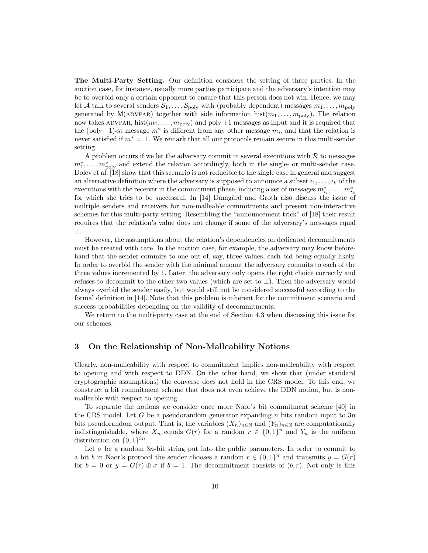The Multi-Party Setting. Our definition considers the setting of three parties. In the auction case, for instance, usually more parties participate and the adversary's intention may be to overbid only a certain opponent to ensure that this person does not win. Hence, we may let A talk to several senders  $S_1, \ldots, S_{poly}$  with (probably dependent) messages  $m_1, \ldots, m_{poly}$ generated by M(ADVPAR) together with side information hist $(m_1, \ldots, m_{poly})$ . The relation now takes ADVPAR, hist $(m_1, \ldots, m_{poly})$  and poly  $+1$  messages as input and it is required that the (poly +1)-st message  $m^*$  is different from any other message  $m_i$ , and that the relation is never satisfied if  $m^* = \perp$ . We remark that all our protocols remain secure in this multi-sender setting.

A problem occurs if we let the adversary commit in several executions with  $R$  to messages  $m_1^*, \ldots, m_{\text{poly}}^*$  and extend the relation accordingly, both in the single- or multi-sender case. Dolev et al. [18] show that this scenario is not reducible to the single case in general and suggest an alternative definition where the adversary is supposed to announce a subset  $i_1, \ldots, i_k$  of the executions with the receiver in the commitment phase, inducing a set of messages  $m_{i_1}^*, \ldots, m_{i_k}^*$ for which she tries to be successful. In  $[14]$  Damgård and Groth also discuss the issue of multiple senders and receivers for non-malleable commitments and present non-interactive schemes for this multi-party setting. Resembling the "announcement trick" of [18] their result requires that the relation's value does not change if some of the adversary's messages equal ⊥.

However, the assumptions about the relation's dependencies on dedicated decommitments must be treated with care. In the auction case, for example, the adversary may know beforehand that the sender commits to one out of, say, three values, each bid being equally likely. In order to overbid the sender with the minimal amount the adversary commits to each of the three values incremented by 1. Later, the adversary only opens the right choice correctly and refuses to decommit to the other two values (which are set to  $\perp$ ). Then the adversary would always overbid the sender easily, but would still not be considered successful according to the formal definition in [14]. Note that this problem is inherent for the commitment scenario and success probabilities depending on the validity of decommitments.

We return to the multi-party case at the end of Section 4.3 when discussing this issue for our schemes.

# 3 On the Relationship of Non-Malleability Notions

Clearly, non-malleability with respect to commitment implies non-malleability with respect to opening and with respect to DDN. On the other hand, we show that (under standard cryptographic assumptions) the converse does not hold in the CRS model. To this end, we construct a bit commitment scheme that does not even achieve the DDN notion, but is nonmalleable with respect to opening.

To separate the notions we consider once more Naor's bit commitment scheme [40] in the CRS model. Let G be a pseudorandom generator expanding n bits random input to  $3n$ bits pseudorandom output. That is, the variables  $(X_n)_{n\in\mathbb{N}}$  and  $(Y_n)_{n\in\mathbb{N}}$  are computationally indistinguishable, where  $X_n$  equals  $G(r)$  for a random  $r \in \{0,1\}^n$  and  $Y_n$  is the uniform distribution on  $\{0,1\}^{3n}$ .

Let  $\sigma$  be a random 3n-bit string put into the public parameters. In order to commit to a bit b in Naor's protocol the sender chooses a random  $r \in \{0,1\}^n$  and transmits  $y = G(r)$ for  $b = 0$  or  $y = G(r) \oplus \sigma$  if  $b = 1$ . The decommitment consists of  $(b, r)$ . Not only is this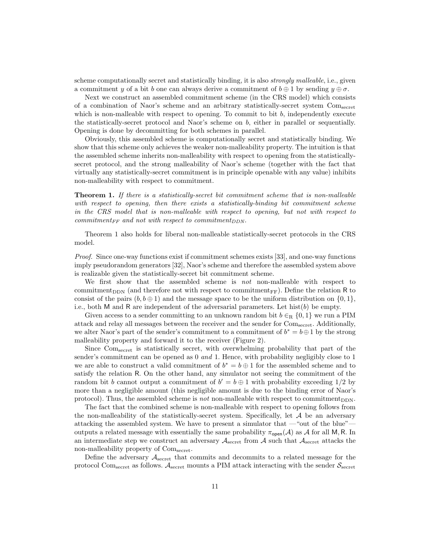scheme computationally secret and statistically binding, it is also *strongly malleable*, i.e., given a commitment y of a bit b one can always derive a commitment of  $b \oplus 1$  by sending  $y \oplus \sigma$ .

Next we construct an assembled commitment scheme (in the CRS model) which consists of a combination of Naor's scheme and an arbitrary statistically-secret system Comsecret which is non-malleable with respect to opening. To commit to bit  $b$ , independently execute the statistically-secret protocol and Naor's scheme on b, either in parallel or sequentially. Opening is done by decommitting for both schemes in parallel.

Obviously, this assembled scheme is computationally secret and statistically binding. We show that this scheme only achieves the weaker non-malleability property. The intuition is that the assembled scheme inherits non-malleability with respect to opening from the statisticallysecret protocol, and the strong malleability of Naor's scheme (together with the fact that virtually any statistically-secret commitment is in principle openable with any value) inhibits non-malleability with respect to commitment.

Theorem 1. If there is a statistically-secret bit commitment scheme that is non-malleable with respect to opening, then there exists a statistically-binding bit commitment scheme in the CRS model that is non-malleable with respect to opening, but not with respect to commitment<sub>FF</sub> and not with respect to commitment $_{DDN}$ .

Theorem 1 also holds for liberal non-malleable statistically-secret protocols in the CRS model.

Proof. Since one-way functions exist if commitment schemes exists [33], and one-way functions imply pseudorandom generators [32], Naor's scheme and therefore the assembled system above is realizable given the statistically-secret bit commitment scheme.

We first show that the assembled scheme is *not* non-malleable with respect to commitment<sub>DDN</sub> (and therefore not with respect to commitment<sub>FF</sub>). Define the relation R to consist of the pairs  $(b, b \oplus 1)$  and the message space to be the uniform distribution on  $\{0, 1\}$ , i.e., both M and R are independent of the adversarial parameters. Let hist $(b)$  be empty.

Given access to a sender committing to an unknown random bit  $b \in_R \{0, 1\}$  we run a PIM attack and relay all messages between the receiver and the sender for Comsecret. Additionally, we alter Naor's part of the sender's commitment to a commitment of  $b^* = b \oplus 1$  by the strong malleability property and forward it to the receiver (Figure 2).

Since Comsecret is statistically secret, with overwhelming probability that part of the sender's commitment can be opened as 0 and 1. Hence, with probability negligibly close to 1 we are able to construct a valid commitment of  $b^* = b \oplus 1$  for the assembled scheme and to satisfy the relation R. On the other hand, any simulator not seeing the commitment of the random bit b cannot output a commitment of  $b' = b \oplus 1$  with probability exceeding 1/2 by more than a negligible amount (this negligible amount is due to the binding error of Naor's protocol). Thus, the assembled scheme is *not* non-malleable with respect to commitment $_{\text{DDN}}$ .

The fact that the combined scheme is non-malleable with respect to opening follows from the non-malleability of the statistically-secret system. Specifically, let  $A$  be an adversary attacking the assembled system. We have to present a simulator that —"out of the blue" outputs a related message with essentially the same probability  $\pi_{open}(\mathcal{A})$  as  $\mathcal{A}$  for all M, R. In an intermediate step we construct an adversary  $\mathcal{A}_{\text{secret}}$  from  $\mathcal{A}$  such that  $\mathcal{A}_{\text{secret}}$  attacks the non-malleability property of Comsecret.

Define the adversary  $A_{\text{secret}}$  that commits and decommits to a related message for the protocol Com<sub>secret</sub> as follows.  $A_{\text{secret}}$  mounts a PIM attack interacting with the sender  $S_{\text{secret}}$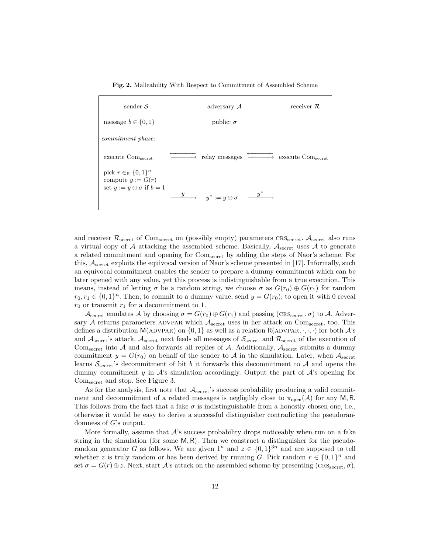Fig. 2. Malleability With Respect to Commitment of Assembled Scheme



and receiver  $\mathcal{R}_{\text{secret}}$  of Com<sub>secret</sub> on (possibly empty) parameters  $CRS_{\text{secret}}$ .  $\mathcal{A}_{\text{secret}}$  also runs a virtual copy of A attacking the assembled scheme. Basically,  $A_{\text{secret}}$  uses A to generate a related commitment and opening for Comsecret by adding the steps of Naor's scheme. For this,  $A_{\text{secret}}$  exploits the equivocal version of Naor's scheme presented in [17]. Informally, such an equivocal commitment enables the sender to prepare a dummy commitment which can be later opened with any value, yet this process is indistinguishable from a true execution. This means, instead of letting  $\sigma$  be a random string, we choose  $\sigma$  as  $G(r_0) \oplus G(r_1)$  for random  $r_0, r_1 \in \{0, 1\}^n$ . Then, to commit to a dummy value, send  $y = G(r_0)$ ; to open it with 0 reveal  $r_0$  or transmit  $r_1$  for a decommitment to 1.

 $\mathcal{A}_{\text{secret}}$  emulates A by choosing  $\sigma = G(r_0) \oplus G(r_1)$  and passing (CRS<sub>secret</sub>,  $\sigma$ ) to A. Adversary  $A$  returns parameters ADVPAR which  $A_{\text{secret}}$  uses in her attack on Com<sub>secret</sub>, too. This defines a distribution  $M(ADVPAR)$  on  $\{0,1\}$  as well as a relation  $R(ADVPAR, \cdot, \cdot, \cdot)$  for both  $\mathcal{A}$ 's and  $A_{\text{secret}}$ 's attack.  $A_{\text{secret}}$  next feeds all messages of  $S_{\text{secret}}$  and  $R_{\text{secret}}$  of the execution of Comsecret into A and also forwards all replies of A. Additionally,  $A_{\text{secret}}$  submits a dummy commitment  $y = G(r_0)$  on behalf of the sender to A in the simulation. Later, when  $A_{\text{secret}}$ learns  $S_{secret}$ 's decommitment of bit b it forwards this decommitment to A and opens the dummy commitment y in  $\mathcal{A}$ 's simulation accordingly. Output the part of  $\mathcal{A}$ 's opening for Comsecret and stop. See Figure 3.

As for the analysis, first note that  $A_{\text{secret}}$ 's success probability producing a valid commitment and decommitment of a related messages is negligibly close to  $\pi_{open}(\mathcal{A})$  for any M, R. This follows from the fact that a fake  $\sigma$  is indistinguishable from a honestly chosen one, i.e., otherwise it would be easy to derive a successful distinguisher contradicting the pseudorandomness of G's output.

More formally, assume that  $\mathcal{A}$ 's success probability drops noticeably when run on a fake string in the simulation (for some  $M, R$ ). Then we construct a distinguisher for the pseudorandom generator G as follows. We are given  $1^n$  and  $z \in \{0,1\}^{3n}$  and are supposed to tell whether z is truly random or has been derived by running G. Pick random  $r \in \{0,1\}^n$  and set  $\sigma = G(r) \oplus z$ . Next, start A's attack on the assembled scheme by presenting  $(CRS_{secret}, \sigma)$ .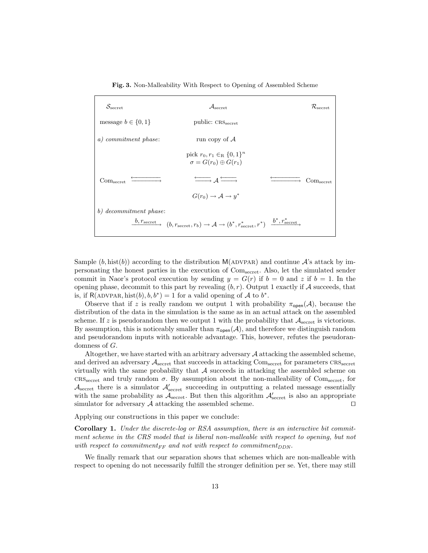Fig. 3. Non-Malleability With Respect to Opening of Assembled Scheme

| $\mathcal{S}_{\text{secret}}$ | $\mathcal{A}_{\mathrm{secret}}$                                                                                                                                                         | $\mathcal{R}_{\text{secret}}$ |
|-------------------------------|-----------------------------------------------------------------------------------------------------------------------------------------------------------------------------------------|-------------------------------|
| message $b \in \{0, 1\}$      | public: CRSsecret                                                                                                                                                                       |                               |
| a) commitment phase:          | run copy of $A$                                                                                                                                                                         |                               |
|                               | pick $r_0, r_1 \in_R \{0, 1\}^n$<br>$\sigma = G(r_0) \oplus G(r_1)$                                                                                                                     |                               |
| Com <sub>secret</sub>         | $\overline{\phantom{a}} \xrightarrow{\phantom{a}} A \xrightarrow{\phantom{a}}$                                                                                                          | $Com_{secret}$                |
|                               | $G(r_0) \to \mathcal{A} \to y^*$                                                                                                                                                        |                               |
| b) decommitment phase:        | $\frac{b, r_{\text{secret}}}{b, r_{\text{secret}}}, r_b) \rightarrow \mathcal{A} \rightarrow (b^*, r_{\text{secret}}^*, r^*) \stackrel{b^*, r_{\text{secret}}^*}{b, r_{\text{secret}}}$ |                               |

Sample  $(b, \text{hist}(b))$  according to the distribution  $M(ADVPAR)$  and continue  $\mathcal{A}$ 's attack by impersonating the honest parties in the execution of Comsecret. Also, let the simulated sender commit in Naor's protocol execution by sending  $y = G(r)$  if  $b = 0$  and z if  $b = 1$ . In the opening phase, decommit to this part by revealing  $(b, r)$ . Output 1 exactly if A succeeds, that is, if  $R$ (ADVPAR, hist $(b), b, b^*$ ) = 1 for a valid opening of A to  $b^*$ .

Observe that if z is really random we output 1 with probability  $\pi_{open}(\mathcal{A})$ , because the distribution of the data in the simulation is the same as in an actual attack on the assembled scheme. If z is pseudorandom then we output 1 with the probability that  $\mathcal{A}_{\text{secret}}$  is victorious. By assumption, this is noticeably smaller than  $\pi_{open}(\mathcal{A})$ , and therefore we distinguish random and pseudorandom inputs with noticeable advantage. This, however, refutes the pseudorandomness of G.

Altogether, we have started with an arbitrary adversary  $A$  attacking the assembled scheme, and derived an adversary  $A_{\text{secret}}$  that succeeds in attacking  $\text{Com}_{\text{secret}}$  for parameters  $\text{CRS}_{\text{secret}}$ virtually with the same probability that  $A$  succeeds in attacking the assembled scheme on  $CRS_{secret}$  and truly random  $\sigma$ . By assumption about the non-malleability of Comsecret, for  $\mathcal{A}_{\text{secret}}$  there is a simulator  $\mathcal{A}'_{\text{secret}}$  succeeding in outputting a related message essentially with the same probability as  $A_{\text{secret}}$ . But then this algorithm  $A'_{\text{secret}}$  is also an appropriate simulator for adversary  $\mathcal A$  attacking the assembled scheme.  $\Box$ 

Applying our constructions in this paper we conclude:

Corollary 1. Under the discrete-log or RSA assumption, there is an interactive bit commitment scheme in the CRS model that is liberal non-malleable with respect to opening, but not with respect to commitment<sub>FF</sub> and not with respect to commitment<sub>DDN</sub>.

We finally remark that our separation shows that schemes which are non-malleable with respect to opening do not necessarily fulfill the stronger definition per se. Yet, there may still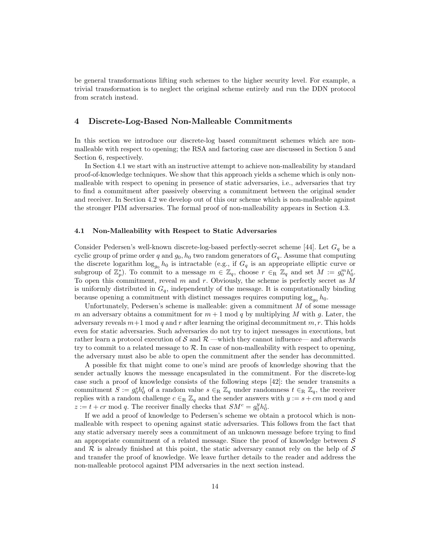be general transformations lifting such schemes to the higher security level. For example, a trivial transformation is to neglect the original scheme entirely and run the DDN protocol from scratch instead.

### 4 Discrete-Log-Based Non-Malleable Commitments

In this section we introduce our discrete-log based commitment schemes which are nonmalleable with respect to opening; the RSA and factoring case are discussed in Section 5 and Section 6, respectively.

In Section 4.1 we start with an instructive attempt to achieve non-malleability by standard proof-of-knowledge techniques. We show that this approach yields a scheme which is only nonmalleable with respect to opening in presence of static adversaries, i.e., adversaries that try to find a commitment after passively observing a commitment between the original sender and receiver. In Section 4.2 we develop out of this our scheme which is non-malleable against the stronger PIM adversaries. The formal proof of non-malleability appears in Section 4.3.

# 4.1 Non-Malleability with Respect to Static Adversaries

Consider Pedersen's well-known discrete-log-based perfectly-secret scheme [44]. Let  $G_q$  be a cyclic group of prime order q and  $g_0$ ,  $h_0$  two random generators of  $G_q$ . Assume that computing the discrete logarithm  $\log_{g_0} h_0$  is intractable (e.g., if  $G_q$  is an appropriate elliptic curve or subgroup of  $\mathbb{Z}_p^*$ ). To commit to a message  $m \in \mathbb{Z}_q$ , choose  $r \in_R \mathbb{Z}_q$  and set  $M := g_0^m h_0^r$ . To open this commitment, reveal  $m$  and  $r$ . Obviously, the scheme is perfectly secret as  $M$ is uniformly distributed in  $G_q$ , independently of the message. It is computationally binding because opening a commitment with distinct messages requires computing  $\log_{g_0} h_0$ .

Unfortunately, Pedersen's scheme is malleable: given a commitment  $M$  of some message m an adversary obtains a commitment for  $m + 1 \mod q$  by multiplying M with g. Later, the adversary reveals  $m+1 \mod q$  and r after learning the original decommitment  $m, r$ . This holds even for static adversaries. Such adversaries do not try to inject messages in executions, but rather learn a protocol execution of S and  $\mathcal{R}$  —which they cannot influence— and afterwards try to commit to a related message to  $R$ . In case of non-malleability with respect to opening, the adversary must also be able to open the commitment after the sender has decommitted.

A possible fix that might come to one's mind are proofs of knowledge showing that the sender actually knows the message encapsulated in the commitment. For the discrete-log case such a proof of knowledge consists of the following steps [42]: the sender transmits a commitment  $S := g_0^s h_0^t$  of a random value  $s \in_R \mathbb{Z}_q$  under randomness  $t \in_R \mathbb{Z}_q$ , the receiver replies with a random challenge  $c \in_R \mathbb{Z}_q$  and the sender answers with  $y := s + cm \mod q$  and  $z := t + cr \mod q$ . The receiver finally checks that  $SM<sup>c</sup> = g<sub>0</sub><sup>y</sup>h<sub>0</sub><sup>z</sup>$ .

If we add a proof of knowledge to Pedersen's scheme we obtain a protocol which is nonmalleable with respect to opening against static adversaries. This follows from the fact that any static adversary merely sees a commitment of an unknown message before trying to find an appropriate commitment of a related message. Since the proof of knowledge between  $\mathcal S$ and  $\mathcal R$  is already finished at this point, the static adversary cannot rely on the help of  $\mathcal S$ and transfer the proof of knowledge. We leave further details to the reader and address the non-malleable protocol against PIM adversaries in the next section instead.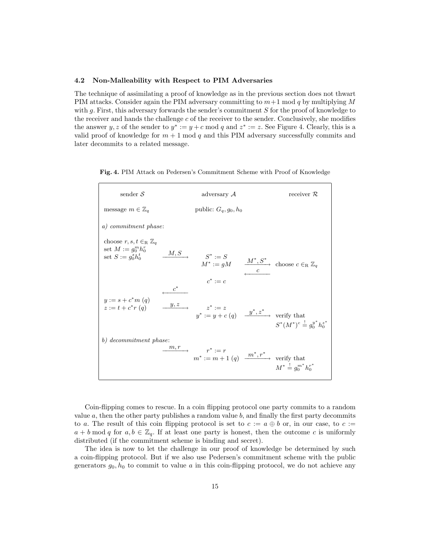#### 4.2 Non-Malleability with Respect to PIM Adversaries

The technique of assimilating a proof of knowledge as in the previous section does not thwart PIM attacks. Consider again the PIM adversary committing to  $m+1$  mod q by multiplying M with g. First, this adversary forwards the sender's commitment S for the proof of knowledge to the receiver and hands the challenge  $c$  of the receiver to the sender. Conclusively, she modifies the answer y, z of the sender to  $y^* := y + c \mod q$  and  $z^* := z$ . See Figure 4. Clearly, this is a valid proof of knowledge for  $m + 1 \mod q$  and this PIM adversary successfully commits and later decommits to a related message.

Fig. 4. PIM Attack on Pedersen's Commitment Scheme with Proof of Knowledge

| sender $\mathcal S$                                                                                                                                                                                    | adversary $A$                                                                                                                                                 | receiver $\mathcal{R}$                           |
|--------------------------------------------------------------------------------------------------------------------------------------------------------------------------------------------------------|---------------------------------------------------------------------------------------------------------------------------------------------------------------|--------------------------------------------------|
| message $m \in \mathbb{Z}_q$                                                                                                                                                                           | public: $G_q$ , $g_0$ , $h_0$                                                                                                                                 |                                                  |
| a) commitment phase:                                                                                                                                                                                   |                                                                                                                                                               |                                                  |
| choose $r, s, t \in_R \mathbb{Z}_q$<br>set $M := g_0^m h_0^r$<br>set $S := g_0^s h_0^t$ $\longrightarrow$ $M, S$<br>$M^* := gM$ $\longrightarrow$ $M^*, S^*$ choose $c \in_R \mathbb{Z}_q$             |                                                                                                                                                               |                                                  |
| $\begin{array}{lll} y:=s+c^*m\ (q)\\[2mm] z:=t+c^*r\ (q)\\[2mm] \begin{array}{lll} & y,z\\[2mm] & y^*:=y+c\ (q)\\[2mm] & & y^*:=y+c\ (q)\\[2mm] & & S^*(M^*)^c\stackrel{!}{=} \end{array} \end{array}$ |                                                                                                                                                               | $S^*(M^*)^c \stackrel{!}{=} q_0^{y^*} h_0^{z^*}$ |
| b) decommitment phase:                                                                                                                                                                                 | $\begin{array}{c}\nm, r \longrightarrow \text{ } r^* := r \longrightarrow \text{ } m^* := m + 1 \ (q) \xrightarrow{m^*, r^*} \text{ verify that} \end{array}$ | $M^* \stackrel{!}{=} q_0^{m^*} h_0^{r^*}$        |

Coin-flipping comes to rescue. In a coin flipping protocol one party commits to a random value  $a$ , then the other party publishes a random value  $b$ , and finally the first party decommits to a. The result of this coin flipping protocol is set to  $c := a \oplus b$  or, in our case, to  $c :=$  $a + b \mod q$  for  $a, b \in \mathbb{Z}_q$ . If at least one party is honest, then the outcome c is uniformly distributed (if the commitment scheme is binding and secret).

The idea is now to let the challenge in our proof of knowledge be determined by such a coin-flipping protocol. But if we also use Pedersen's commitment scheme with the public generators  $g_0, h_0$  to commit to value a in this coin-flipping protocol, we do not achieve any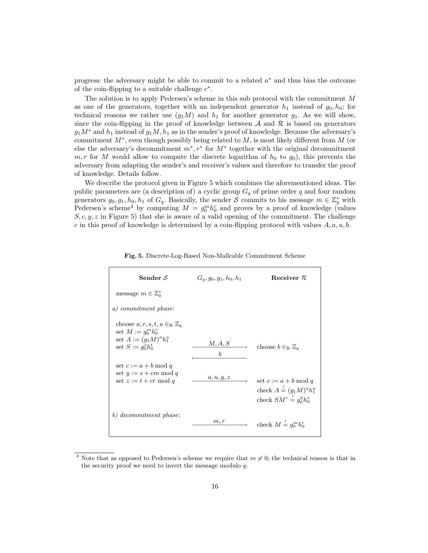progress: the adversary might be able to commit to a related  $a^*$  and thus bias the outcome of the coin-flipping to a suitable challenge  $c^*$ .

The solution is to apply Pedersen's scheme in this sub protocol with the commitment M as one of the generators, together with an independent generator  $h_1$  instead of  $g_0, h_0$ ; for technical reasons we rather use  $(g_1M)$  and  $h_1$  for another generator  $g_1$ . As we will show, since the coin-flipping in the proof of knowledge between  $A$  and  $R$  is based on generators  $g_1M^*$  and  $h_1$  instead of  $g_1M$ ,  $h_1$  as in the sender's proof of knowledge. Because the adversary's commitment  $M^*$ , even though possibly being related to  $M$ , is most likely different from  $M$  (or else the adversary's decommitment  $m^*$ ,  $r^*$  for  $M^*$  together with the original decommitment  $m, r$  for M would allow to compute the discrete logarithm of  $h_0$  to  $g_0$ ), this prevents the adversary from adapting the sender's and receiver's values and therefore to transfer the proof of knowledge. Details follow.

We describe the protocol given in Figure 5 which combines the aforementioned ideas. The public parameters are (a description of) a cyclic group  $G_q$  of prime order q and four random generators  $g_0, g_1, h_0, h_1$  of  $G_q$ . Basically, the sender S commits to his message  $m \in \mathbb{Z}_q^*$  with Pedersen's scheme<sup>4</sup> by computing  $M = g_0^m h_0^r$  and proves by a proof of knowledge (values  $S, c, y, z$  in Figure 5) that she is aware of a valid opening of the commitment. The challenge c in this proof of knowledge is determined by a coin-flipping protocol with values  $A, a, u, b$ .

| Sender $S$                                                                                                                                                                                                    | $G_a, q_0, q_1, h_0, h_1$                 | Receiver $R$                                                            |
|---------------------------------------------------------------------------------------------------------------------------------------------------------------------------------------------------------------|-------------------------------------------|-------------------------------------------------------------------------|
| message $m \in \mathbb{Z}_q^*$                                                                                                                                                                                |                                           |                                                                         |
| a) commitment phase:                                                                                                                                                                                          |                                           |                                                                         |
| choose $a, r, s, t, u \in_R \mathbb{Z}_q$<br>set $M := q_0^m h_0^r$<br>set $A := (q_1M)^a h_1^u$<br>set $S := g_0^s h_0^t$<br>set $c := a + b \mod q$<br>set $y := s + cm \mod q$<br>set $z := t + cr \mod q$ | M, A, S<br>$\boldsymbol{b}$<br>a, u, y, z | choose $b \in_R \mathbb{Z}_q$<br>set $c := a + b \mod q$                |
| b) decommitment phase:                                                                                                                                                                                        | m,r                                       | check $A = (g_1 M)^a h_1^u$<br>check $SM^c \stackrel{!}{=} g_0^y h_0^z$ |
|                                                                                                                                                                                                               |                                           | check $M \stackrel{!}{=} g_0^m h_0^r$                                   |

Fig. 5. Discrete-Log-Based Non-Malleable Commitment Scheme

<sup>&</sup>lt;sup>4</sup> Note that as opposed to Pedersen's scheme we require that  $m \neq 0$ ; the technical reason is that in the security proof we need to invert the message modulo  $q$ .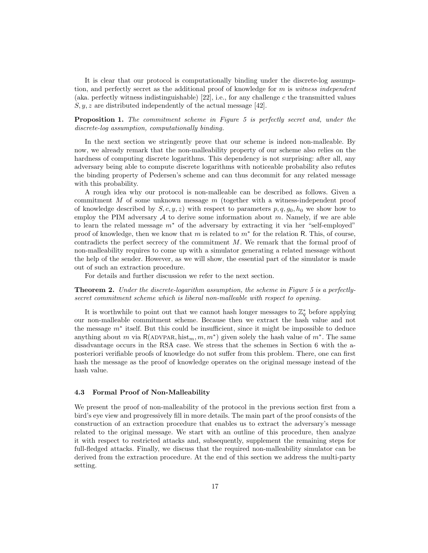It is clear that our protocol is computationally binding under the discrete-log assumption, and perfectly secret as the additional proof of knowledge for m is witness independent (aka. perfectly witness indistinguishable) [22], i.e., for any challenge c the transmitted values  $S, y, z$  are distributed independently of the actual message [42].

Proposition 1. The commitment scheme in Figure 5 is perfectly secret and, under the discrete-log assumption, computationally binding.

In the next section we stringently prove that our scheme is indeed non-malleable. By now, we already remark that the non-malleability property of our scheme also relies on the hardness of computing discrete logarithms. This dependency is not surprising: after all, any adversary being able to compute discrete logarithms with noticeable probability also refutes the binding property of Pedersen's scheme and can thus decommit for any related message with this probability.

A rough idea why our protocol is non-malleable can be described as follows. Given a commitment M of some unknown message m (together with a witness-independent proof of knowledge described by  $S, c, y, z$ ) with respect to parameters  $p, q, g_0, h_0$  we show how to employ the PIM adversary  $A$  to derive some information about m. Namely, if we are able to learn the related message m<sup>∗</sup> of the adversary by extracting it via her "self-employed" proof of knowledge, then we know that m is related to  $m^*$  for the relation R. This, of course, contradicts the perfect secrecy of the commitment  $M$ . We remark that the formal proof of non-malleability requires to come up with a simulator generating a related message without the help of the sender. However, as we will show, the essential part of the simulator is made out of such an extraction procedure.

For details and further discussion we refer to the next section.

**Theorem 2.** Under the discrete-logarithm assumption, the scheme in Figure 5 is a perfectlysecret commitment scheme which is liberal non-malleable with respect to opening.

It is worthwhile to point out that we cannot hash longer messages to  $\mathbb{Z}_q^*$  before applying our non-malleable commitment scheme. Because then we extract the hash value and not the message m<sup>∗</sup> itself. But this could be insufficient, since it might be impossible to deduce anything about m via  $R(\text{ADVPAR}, \text{hist}_m, m, m^*)$  given solely the hash value of  $m^*$ . The same disadvantage occurs in the RSA case. We stress that the schemes in Section 6 with the aposteriori verifiable proofs of knowledge do not suffer from this problem. There, one can first hash the message as the proof of knowledge operates on the original message instead of the hash value.

### 4.3 Formal Proof of Non-Malleability

We present the proof of non-malleability of the protocol in the previous section first from a bird's eye view and progressively fill in more details. The main part of the proof consists of the construction of an extraction procedure that enables us to extract the adversary's message related to the original message. We start with an outline of this procedure, then analyze it with respect to restricted attacks and, subsequently, supplement the remaining steps for full-fledged attacks. Finally, we discuss that the required non-malleability simulator can be derived from the extraction procedure. At the end of this section we address the multi-party setting.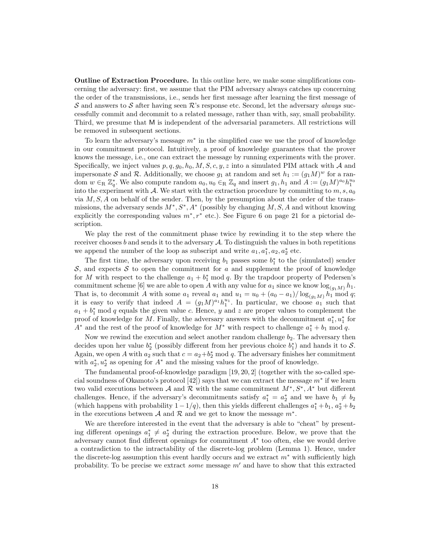Outline of Extraction Procedure. In this outline here, we make some simplifications concerning the adversary: first, we assume that the PIM adversary always catches up concerning the order of the transmissions, i.e., sends her first message after learning the first message of S and answers to S after having seen  $\mathcal{R}$ 's response etc. Second, let the adversary *always* successfully commit and decommit to a related message, rather than with, say, small probability. Third, we presume that M is independent of the adversarial parameters. All restrictions will be removed in subsequent sections.

To learn the adversary's message  $m^*$  in the simplified case we use the proof of knowledge in our commitment protocol. Intuitively, a proof of knowledge guarantees that the prover knows the message, i.e., one can extract the message by running experiments with the prover. Specifically, we inject values  $p, q, g_0, h_0, M, S, c, y, z$  into a simulated PIM attack with A and impersonate S and R. Additionally, we choose  $g_1$  at random and set  $h_1 := (g_1 M)^w$  for a random  $w \in_R \mathbb{Z}_q^*$ . We also compute random  $a_0, u_0 \in_R \mathbb{Z}_q$  and insert  $g_1, h_1$  and  $A := (g_1 M)^{a_0} h_1^{u_0}$ into the experiment with A. We start with the extraction procedure by committing to  $m, s, a_0$ via  $M, S, A$  on behalf of the sender. Then, by the presumption about the order of the transmissions, the adversary sends  $M^*, S^*, A^*$  (possibly by changing  $M, S, A$  and without knowing explicitly the corresponding values  $m^*$ ,  $r^*$  etc.). See Figure 6 on page 21 for a pictorial description.

We play the rest of the commitment phase twice by rewinding it to the step where the receiver chooses  $b$  and sends it to the adversary  $A$ . To distinguish the values in both repetitions we append the number of the loop as subscript and write  $a_1, a_1^*, a_2, a_2^*$  etc.

The first time, the adversary upon receiving  $b_1$  passes some  $b_1^*$  to the (simulated) sender  $S$ , and expects S to open the commitment for a and supplement the proof of knowledge for M with respect to the challenge  $a_1 + b_1^* \mod q$ . By the trapdoor property of Pedersen's commitment scheme [6] we are able to open A with any value for  $a_1$  since we know  $\log_{(a_1,M)} h_1$ . That is, to decommit A with some  $a_1$  reveal  $a_1$  and  $u_1 = u_0 + (a_0 - a_1)/\log_{(g_1 M)} h_1 \mod q$ ; it is easy to verify that indeed  $A = (g_1 M)^{a_1} h_1^{u_1}$ . In particular, we choose  $a_1$  such that  $a_1 + b_1^*$  mod q equals the given value c. Hence, y and z are proper values to complement the proof of knowledge for M. Finally, the adversary answers with the decommitment  $a_1^*, u_1^*$  for  $A^*$  and the rest of the proof of knowledge for  $M^*$  with respect to challenge  $a_1^* + b_1$  mod q.

Now we rewind the execution and select another random challenge  $b<sub>2</sub>$ . The adversary then decides upon her value  $b_2^*$  (possibly different from her previous choice  $b_1^*$ ) and hands it to  $S$ . Again, we open A with  $a_2$  such that  $c = a_2 + b_2^* \mod q$ . The adversary finishes her commitment with  $a_2^*, u_2^*$  as opening for  $A^*$  and the missing values for the proof of knowledge.

The fundamental proof-of-knowledge paradigm [19, 20, 2] (together with the so-called special soundness of Okamoto's protocol  $[42]$ ) says that we can extract the message  $m^*$  if we learn two valid executions between A and R with the same commitment  $M^*, S^*, A^*$  but different challenges. Hence, if the adversary's decommitments satisfy  $a_1^* = a_2^*$  and we have  $b_1 \neq b_2$ (which happens with probability  $1 - 1/q$ ), then this yields different challenges  $a_1^* + b_1$ ,  $a_2^* + b_2$ in the executions between  $A$  and  $R$  and we get to know the message  $m^*$ .

We are therefore interested in the event that the adversary is able to "cheat" by presenting different openings  $a_1^* \neq a_2^*$  during the extraction procedure. Below, we prove that the adversary cannot find different openings for commitment A<sup>∗</sup> too often, else we would derive a contradiction to the intractability of the discrete-log problem (Lemma 1). Hence, under the discrete-log assumption this event hardly occurs and we extract  $m^*$  with sufficiently high probability. To be precise we extract *some* message  $m'$  and have to show that this extracted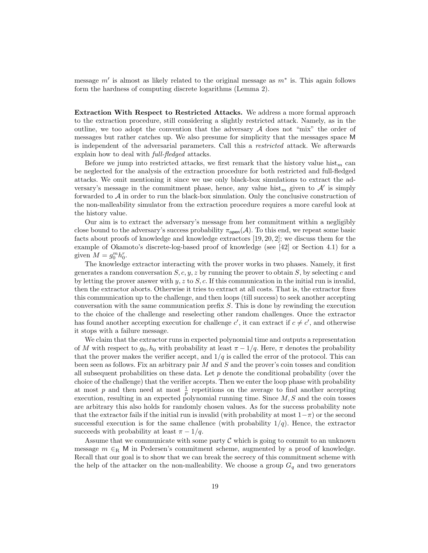message  $m'$  is almost as likely related to the original message as  $m^*$  is. This again follows form the hardness of computing discrete logarithms (Lemma 2).

Extraction With Respect to Restricted Attacks. We address a more formal approach to the extraction procedure, still considering a slightly restricted attack. Namely, as in the outline, we too adopt the convention that the adversary  $A$  does not "mix" the order of messages but rather catches up. We also presume for simplicity that the messages space M is independent of the adversarial parameters. Call this a restricted attack. We afterwards explain how to deal with full-fledged attacks.

Before we jump into restricted attacks, we first remark that the history value hist<sub>m</sub> can be neglected for the analysis of the extraction procedure for both restricted and full-fledged attacks. We omit mentioning it since we use only black-box simulations to extract the adversary's message in the commitment phase, hence, any value hist<sub>m</sub> given to  $\mathcal{A}'$  is simply forwarded to  $A$  in order to run the black-box simulation. Only the conclusive construction of the non-malleability simulator from the extraction procedure requires a more careful look at the history value.

Our aim is to extract the adversary's message from her commitment within a negligibly close bound to the adversary's success probability  $\pi_{open}(\mathcal{A})$ . To this end, we repeat some basic facts about proofs of knowledge and knowledge extractors [19, 20, 2]; we discuss them for the example of Okamoto's discrete-log-based proof of knowledge (see [42] or Section 4.1) for a given  $M = g_0^m h_0^r$ .

The knowledge extractor interacting with the prover works in two phases. Namely, it first generates a random conversation  $S, c, y, z$  by running the prover to obtain  $S$ , by selecting c and by letting the prover answer with  $y, z$  to  $S, c$ . If this communication in the initial run is invalid, then the extractor aborts. Otherwise it tries to extract at all costs. That is, the extractor fixes this communication up to the challenge, and then loops (till success) to seek another accepting conversation with the same communication prefix S. This is done by rewinding the execution to the choice of the challenge and reselecting other random challenges. Once the extractor has found another accepting execution for challenge c', it can extract if  $c \neq c'$ , and otherwise it stops with a failure message.

We claim that the extractor runs in expected polynomial time and outputs a representation of M with respect to  $g_0, h_0$  with probability at least  $\pi - 1/q$ . Here,  $\pi$  denotes the probability that the prover makes the verifier accept, and  $1/q$  is called the error of the protocol. This can been seen as follows. Fix an arbitrary pair  $M$  and  $S$  and the prover's coin tosses and condition all subsequent probabilities on these data. Let  $p$  denote the conditional probability (over the choice of the challenge) that the verifier accepts. Then we enter the loop phase with probability at most p and then need at most  $\frac{1}{p}$  repetitions on the average to find another accepting execution, resulting in an expected polynomial running time. Since  $M, S$  and the coin tosses are arbitrary this also holds for randomly chosen values. As for the success probability note that the extractor fails if the initial run is invalid (with probability at most  $1-\pi$ ) or the second successful execution is for the same challence (with probability  $1/q$ ). Hence, the extractor succeeds with probability at least  $\pi - 1/q$ .

Assume that we communicate with some party  $C$  which is going to commit to an unknown message  $m \in R$  M in Pedersen's commitment scheme, augmented by a proof of knowledge. Recall that our goal is to show that we can break the secrecy of this commitment scheme with the help of the attacker on the non-malleability. We choose a group  $G_q$  and two generators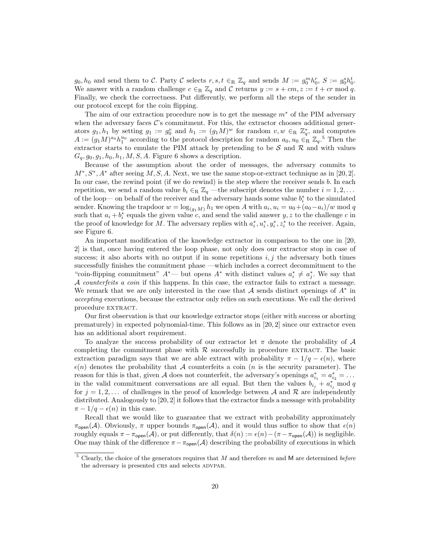$g_0, h_0$  and send them to C. Party C selects  $r, s, t \in_R \mathbb{Z}_q$  and sends  $M := g_0^m h_0^r$ ,  $S := g_0^s h_0^t$ . We answer with a random challenge  $c \in_R \mathbb{Z}_q$  and C returns  $y := s + cm, z := t + cr \text{ mod } q$ . Finally, we check the correctness. Put differently, we perform all the steps of the sender in our protocol except for the coin flipping.

The aim of our extraction procedure now is to get the message  $m^*$  of the PIM adversary when the adversary faces  $\mathcal{C}$ 's commitment. For this, the extractor chooses additional generators  $g_1, h_1$  by setting  $g_1 := g_0^v$  and  $h_1 := (g_1 M)^w$  for random  $v, w \in_R \mathbb{Z}_q^*$ , and computes  $A := (g_1 M)^{a_0} h_1^{u_0}$  according to the protocol description for random  $a_0, u_0 \in_R \mathbb{Z}_q$ .<sup>5</sup> Then the extractor starts to emulate the PIM attack by pretending to be  $S$  and  $R$  and with values  $G_q, g_0, g_1, h_0, h_1, M, S, A$ . Figure 6 shows a description.

Because of the assumption about the order of messages, the adversary commits to  $M^*, S^*, A^*$  after seeing M, S, A. Next, we use the same stop-or-extract technique as in [20, 2]. In our case, the rewind point (if we do rewind) is the step where the receiver sends b. In each repetition, we send a random value  $b_i \in_R \mathbb{Z}_q$  —the subscript denotes the number  $i = 1, 2, \ldots$ of the loop— on behalf of the receiver and the adversary hands some value  $b_i^*$  to the simulated sender. Knowing the trapdoor  $w = \log_{(g_1 M)} h_1$  we open A with  $a_i, u_i = u_0 + (a_0 - a_i)/w$  mod q such that  $a_i + b_i^*$  equals the given value c, and send the valid answer y, z to the challenge c in the proof of knowledge for M. The adversary replies with  $a_i^*, u_i^*, y_i^*, z_i^*$  to the receiver. Again, see Figure 6.

An important modification of the knowledge extractor in comparison to the one in [20, 2] is that, once having entered the loop phase, not only does our extractor stop in case of success; it also aborts with no output if in some repetitions  $i, j$  the adversary both times successfully finishes the commitment phase —which includes a correct decommitment to the "coin-flipping commitment"  $A^*$  but opens  $A^*$  with distinct values  $a_i^* \neq a_j^*$ . We say that A counterfeits a coin if this happens. In this case, the extractor fails to extract a message. We remark that we are only interested in the case that  $A$  sends distinct openings of  $A^*$  in accepting executions, because the extractor only relies on such executions. We call the derived procedure EXTRACT.

Our first observation is that our knowledge extractor stops (either with success or aborting prematurely) in expected polynomial-time. This follows as in [20, 2] since our extractor even has an additional abort requirement.

To analyze the success probability of our extractor let  $\pi$  denote the probability of  $\mathcal A$ completing the commitment phase with  $\mathcal R$  successfully in procedure EXTRACT. The basic extraction paradigm says that we are able extract with probability  $\pi - 1/q - \epsilon(n)$ , where  $\epsilon(n)$  denotes the probability that A counterfeits a coin (n is the security parameter). The reason for this is that, given A does not counterfeit, the adversary's openings  $a_{i_1}^* = a_{i_2}^* = \ldots$ in the valid commitment conversations are all equal. But then the values  $b_{i_j} + a_{i_j}^* \mod q$ for  $j = 1, 2, \ldots$  of challenges in the proof of knowledge between A and R are independently distributed. Analogously to [20, 2] it follows that the extractor finds a message with probability  $\pi - 1/q - \epsilon(n)$  in this case.

Recall that we would like to guarantee that we extract with probability approximately  $\pi_{\text{open}}(\mathcal{A})$ . Obviously,  $\pi$  upper bounds  $\pi_{\text{open}}(\mathcal{A})$ , and it would thus suffice to show that  $\epsilon(n)$ roughly equals  $\pi - \pi_{open}(\mathcal{A})$ , or put differently, that  $\delta(n) := \epsilon(n) - (\pi - \pi_{open}(\mathcal{A}))$  is negligible. One may think of the difference  $\pi - \pi_{open}(\mathcal{A})$  describing the probability of executions in which

 $5$  Clearly, the choice of the generators requires that M and therefore m and M are determined before the adversary is presented CRS and selects ADVPAR.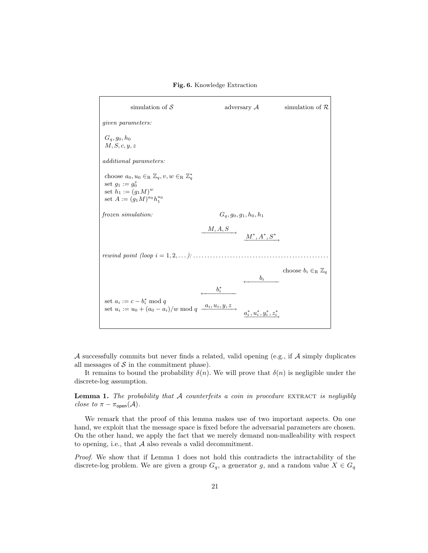Fig. 6. Knowledge Extraction

| simulation of $S$                                                                                                                                     |         | adversary $A$                | simulation of $R$               |
|-------------------------------------------------------------------------------------------------------------------------------------------------------|---------|------------------------------|---------------------------------|
| <i>given</i> parameters:                                                                                                                              |         |                              |                                 |
| $G_q, q_0, h_0$<br>M, S, c, y, z                                                                                                                      |         |                              |                                 |
| <i>additional parameters:</i>                                                                                                                         |         |                              |                                 |
| choose $a_0, u_0 \in_R \mathbb{Z}_q, v, w \in_R \mathbb{Z}_q^*$<br>set $g_1 := g_0^v$<br>set $h_1 := (g_1 M)^w$<br>set $A := (g_1 M)^{a_0} h_1^{u_0}$ |         |                              |                                 |
| frozen simulation:                                                                                                                                    |         | $G_a, q_0, q_1, h_0, h_1$    |                                 |
|                                                                                                                                                       |         | $M, A, S$<br>$M^*, A^*, S^*$ |                                 |
|                                                                                                                                                       |         |                              |                                 |
|                                                                                                                                                       |         | $b_i$ <sub>---</sub>         | choose $b_i \in_R \mathbb{Z}_q$ |
|                                                                                                                                                       | $b_i^*$ |                              |                                 |
| set $a_i := c - b_i^* \mod q$<br>set $u_i := u_0 + (a_0 - a_i)/w \bmod q \xrightarrow{a_i, u_i, y, z}$                                                |         | $a_i^*, u_i^*, y_i^*, z_i^*$ |                                 |

 $A$  successfully commits but never finds a related, valid opening (e.g., if  $A$  simply duplicates all messages of  $S$  in the commitment phase).

It remains to bound the probability  $\delta(n)$ . We will prove that  $\delta(n)$  is negligible under the discrete-log assumption.

**Lemma 1.** The probability that  $\mathcal A$  counterfeits a coin in procedure EXTRACT is negligibly close to  $\pi - \pi_{\text{open}}(\mathcal{A})$ .

We remark that the proof of this lemma makes use of two important aspects. On one hand, we exploit that the message space is fixed before the adversarial parameters are chosen. On the other hand, we apply the fact that we merely demand non-malleability with respect to opening, i.e., that  $A$  also reveals a valid decommitment.

Proof. We show that if Lemma 1 does not hold this contradicts the intractability of the discrete-log problem. We are given a group  $G_q$ , a generator g, and a random value  $X \in G_q$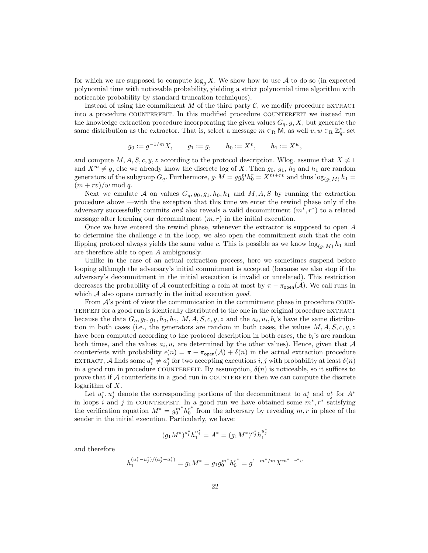for which we are supposed to compute  $\log_q X$ . We show how to use A to do so (in expected polynomial time with noticeable probability, yielding a strict polynomial time algorithm with noticeable probability by standard truncation techniques).

Instead of using the commitment  $M$  of the third party  $C$ , we modify procedure EXTRACT into a procedure COUNTERFEIT. In this modified procedure COUNTERFEIT we instead run the knowledge extraction procedure incorporating the given values  $G_q, g, X$ , but generate the same distribution as the extractor. That is, select a message  $m \in_R M$ , as well  $v, w \in_R \mathbb{Z}_q^*$ , set

$$
g_0 := g^{-1/m} X
$$
,  $g_1 := g$ ,  $h_0 := X^v$ ,  $h_1 := X^w$ ,

and compute M, A, S, c, y, z according to the protocol description. Wlog. assume that  $X \neq 1$ and  $X^m \neq g$ , else we already know the discrete log of X. Then  $g_0, g_1, h_0$  and  $h_1$  are random generators of the subgroup  $G_q$ . Furthermore,  $g_1 M = gg_0^m h_0^r = X^{m+rv}$  and thus  $\log_{(g_1 M)} h_1 =$  $(m + rv)/w \mod q$ .

Next we emulate A on values  $G_q$ ,  $g_0$ ,  $g_1$ ,  $h_0$ ,  $h_1$  and  $M$ ,  $A$ ,  $S$  by running the extraction procedure above —with the exception that this time we enter the rewind phase only if the adversary successfully commits and also reveals a valid decommitment  $(m^*, r^*)$  to a related message after learning our decommitment  $(m, r)$  in the initial execution.

Once we have entered the rewind phase, whenever the extractor is supposed to open A to determine the challenge  $c$  in the loop, we also open the commitment such that the coin flipping protocol always yields the same value c. This is possible as we know  $\log_{(g_1M)} h_1$  and are therefore able to open A ambiguously.

Unlike in the case of an actual extraction process, here we sometimes suspend before looping although the adversary's initial commitment is accepted (because we also stop if the adversary's decommitment in the initial execution is invalid or unrelated). This restriction decreases the probability of A counterfeiting a coin at most by  $\pi - \pi_{open}(\mathcal{A})$ . We call runs in which  $A$  also opens correctly in the initial execution good.

From  $\mathcal{A}$ 's point of view the communication in the commitment phase in procedure COUN-TERFEIT for a good run is identically distributed to the one in the original procedure EXTRACT because the data  $G_q$ ,  $g_0$ ,  $g_1$ ,  $h_0$ ,  $h_1$ ,  $M$ ,  $A$ ,  $S$ ,  $c$ ,  $y$ ,  $z$  and the  $a_i$ ,  $u_i$ ,  $b_i$ 's have the same distribution in both cases (i.e., the generators are random in both cases, the values  $M, A, S, c, y, z$ have been computed according to the protocol description in both cases, the  $b_i$ 's are random both times, and the values  $a_i, u_i$  are determined by the other values). Hence, given that  $\mathcal A$ counterfeits with probability  $\epsilon(n) = \pi - \pi_{\text{open}}(\mathcal{A}) + \delta(n)$  in the actual extraction procedure EXTRACT, A finds some  $a_i^* \neq a_j^*$  for two accepting executions i, j with probability at least  $\delta(n)$ in a good run in procedure COUNTERFEIT. By assumption,  $\delta(n)$  is noticeable, so it suffices to prove that if  $\mathcal A$  counterfeits in a good run in COUNTERFEIT then we can compute the discrete logarithm of  $X$ .

Let  $u_i^*, u_j^*$  denote the corresponding portions of the decommitment to  $a_i^*$  and  $a_j^*$  for  $A^*$ in loops i and j in COUNTERFEIT. In a good run we have obtained some  $m^*$ ,  $r^*$  satisfying the verification equation  $M^* = g_0^{m^*} h_0^{r^*}$  from the adversary by revealing  $m, r$  in place of the sender in the initial execution. Particularly, we have:

$$
(g_1M^*)^{a_i^*}h_1^{u_i^*}=A^*=(g_1M^*)^{a_j^*}h_1^{u_j^*}
$$

and therefore

$$
h_1^{(u_i^*-u_j^*)/(a_j^*-a_i^*)}=g_1M^*=g_1g_0^{m^*}h_0^{r^*}=g^{1-m^*/m}X^{m^*+r^*v}
$$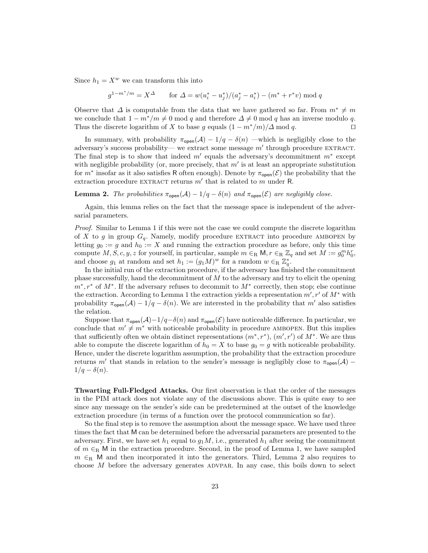Since  $h_1 = X^w$  we can transform this into

$$
g^{1-m^*/m} = X^{\Delta}
$$
 for  $\Delta = w(u_i^* - u_j^*)/(a_j^* - a_i^*) - (m^* + r^*v) \text{ mod } q$ 

Observe that  $\Delta$  is computable from the data that we have gathered so far. From  $m^* \neq m$ we conclude that  $1 - m^*/m \neq 0 \mod q$  and therefore  $\Delta \neq 0 \mod q$  has an inverse modulo q. Thus the discrete logarithm of X to base g equals  $(1 - m^*/m)/\Delta \mod q$ .

In summary, with probability  $\pi_{open}(\mathcal{A}) - 1/q - \delta(n)$  —which is negligibly close to the adversary's success probability— we extract some message  $m'$  through procedure EXTRACT. The final step is to show that indeed  $m'$  equals the adversary's decommitment  $m^*$  except with negligible probability (or, more precisely, that  $m'$  is at least an appropriate substitution for  $m^*$  insofar as it also satisfies R often enough). Denote by  $\pi_{open}(\mathcal{E})$  the probability that the extraction procedure EXTRACT returns  $m'$  that is related to  $m$  under R.

# **Lemma 2.** The probabilities  $\pi_{open}(\mathcal{A}) - 1/q - \delta(n)$  and  $\pi_{open}(\mathcal{E})$  are negligibly close.

Again, this lemma relies on the fact that the message space is independent of the adversarial parameters.

Proof. Similar to Lemma 1 if this were not the case we could compute the discrete logarithm of X to g in group  $G_q$ . Namely, modify procedure EXTRACT into procedure AMBOPEN by letting  $g_0 := g$  and  $h_0 := X$  and running the extraction procedure as before, only this time compute  $M, S, c, y, z$  for yourself, in particular, sample  $m \in_R M, r \in_R \mathbb{Z}_q$  and set  $M := g_0^m h_0^r$ , and choose  $g_1$  at random and set  $h_1 := (g_1 M)^w$  for a random  $w \in_R \mathbb{Z}_q^*$ .

In the initial run of the extraction procedure, if the adversary has finished the commitment phase successfully, hand the decommitment of M to the adversary and try to elicit the opening  $m^*, r^*$  of  $M^*$ . If the adversary refuses to decommit to  $M^*$  correctly, then stop; else continue the extraction. According to Lemma 1 the extraction yields a representation  $m', r'$  of  $M^*$  with probability  $\pi_{open}(\mathcal{A}) - 1/q - \delta(n)$ . We are interested in the probability that m' also satisfies the relation.

Suppose that  $\pi_{open}(\mathcal{A})-1/q-\delta(n)$  and  $\pi_{open}(\mathcal{E})$  have noticeable difference. In particular, we conclude that  $m' \neq m^*$  with noticeable probability in procedure AMBOPEN. But this implies that sufficiently often we obtain distinct representations  $(m^*, r^*)$ ,  $(m', r')$  of  $M^*$ . We are thus able to compute the discrete logarithm of  $h_0 = X$  to base  $g_0 = g$  with noticeable probability. Hence, under the discrete logarithm assumption, the probability that the extraction procedure returns m' that stands in relation to the sender's message is negligibly close to  $\pi_{open}(\mathcal{A})$  –  $1/q - \delta(n)$ .

Thwarting Full-Fledged Attacks. Our first observation is that the order of the messages in the PIM attack does not violate any of the discussions above. This is quite easy to see since any message on the sender's side can be predetermined at the outset of the knowledge extraction procedure (in terms of a function over the protocol communication so far).

So the final step is to remove the assumption about the message space. We have used three times the fact that M can be determined before the adversarial parameters are presented to the adversary. First, we have set  $h_1$  equal to  $g_1M$ , i.e., generated  $h_1$  after seeing the commitment of  $m \in R$  M in the extraction procedure. Second, in the proof of Lemma 1, we have sampled  $m \in R$  M and then incorporated it into the generators. Third, Lemma 2 also requires to choose  $M$  before the adversary generates ADVPAR. In any case, this boils down to select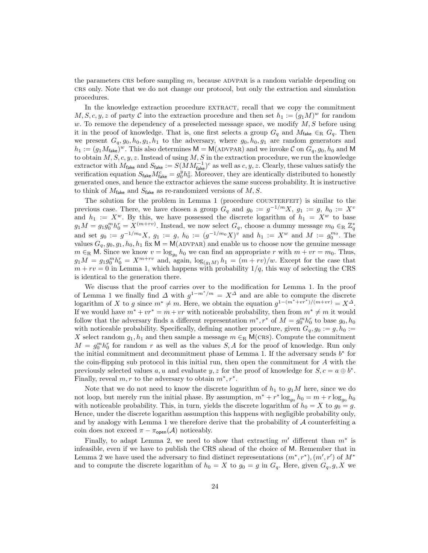the parameters CRS before sampling  $m$ , because ADVPAR is a random variable depending on crs only. Note that we do not change our protocol, but only the extraction and simulation procedures.

In the knowledge extraction procedure EXTRACT, recall that we copy the commitment M, S, c, y, z of party C into the extraction procedure and then set  $h_1 := (g_1 M)^w$  for random w. To remove the dependency of a preselected message space, we modify  $M, S$  before using it in the proof of knowledge. That is, one first selects a group  $G_q$  and  $M_{\text{fake}} \in_R G_q$ . Then we present  $G_q$ ,  $g_0$ ,  $h_0$ ,  $g_1$ ,  $h_1$  to the adversary, where  $g_0$ ,  $h_0$ ,  $g_1$  are random generators and  $h_1 := (g_1 M_{\text{fake}})^w$ . This also determines  $\mathsf{M} = \mathsf{M}(\text{ADVPAR})$  and we invoke C on  $G_q$ ,  $g_0$ ,  $h_0$  and M to obtain  $M, S, c, y, z$ . Instead of using  $M, S$  in the extraction procedure, we run the knowledge extractor with  $M_{\text{fake}}$  and  $S_{\text{fake}} := S(MM_{\text{fake}}^{-1})^c$  as well as  $c, y, z$ . Clearly, these values satisfy the verification equation  $S_{\text{fake}} M_{\text{fake}}^c = g_0^y h_0^z$ . Moreover, they are identically distributed to honestly generated ones, and hence the extractor achieves the same success probability. It is instructive to think of  $M_{\text{fake}}$  and  $S_{\text{fake}}$  as re-randomized versions of  $M, S$ .

The solution for the problem in Lemma 1 (procedure COUNTERFEIT) is similar to the previous case. There, we have chosen a group  $G_q$  and  $g_0 := g^{-1/m} X$ ,  $g_1 := g$ ,  $h_0 := X^v$ and  $h_1 := X^w$ . By this, we have possessed the discrete logarithm of  $h_1 = X^w$  to base  $g_1M = g_1g_0^mh_0^r = X^{(m+rv)}$ . Instead, we now select  $G_q$ , choose a dummy message  $m_0 \in_R \mathbb{Z}_q^*$ and set  $g_0 := g^{-1/m_0} X$ ,  $g_1 := g$ ,  $h_0 := (g^{-1/m_0} X)^v$  and  $h_1 := X^w$  and  $M := g_0^{m_0}$ . The values  $G_q$ ,  $g_0$ ,  $g_1$ ,  $h_0$ ,  $h_1$  fix  $M = M$ (ADVPAR) and enable us to choose now the genuine message  $m \in R$  M. Since we know  $v = \log_{g_0} h_0$  we can find an appropriate r with  $m + v = m_0$ . Thus,  $g_1M = g_1g_0^m h_0^r = X^{m+rv}$  and, again,  $\log_{(g_1M)} h_1 = (m+rv)/w$ . Except for the case that  $m + rv = 0$  in Lemma 1, which happens with probability  $1/q$ , this way of selecting the CRS is identical to the generation there.

We discuss that the proof carries over to the modification for Lemma 1. In the proof of Lemma 1 we finally find  $\Delta$  with  $g^{1-m^*/m} = X^{\Delta}$  and are able to compute the discrete logarithm of X to g since  $m^* \neq m$ . Here, we obtain the equation  $g^{1-(m^*+v\overline{r}^*)/(m+v\overline{r})} = X^{\Delta}$ . If we would have  $m^* + v^{*} = m + v^*$  with noticeable probability, then from  $m^* \neq m$  it would follow that the adversary finds a different representation  $m^*$ ,  $r^*$  of  $M = g_0^m h_0^r$  to base  $g_0, h_0$ with noticeable probability. Specifically, defining another procedure, given  $G_q$ ,  $g_0 := g$ ,  $h_0 :=$ X select random  $g_1, h_1$  and then sample a message  $m \in_R M(\text{CRs})$ . Compute the commitment  $M = g_0^m h_0^r$  for random r as well as the values  $S, A$  for the proof of knowledge. Run only the initial commitment and decommitment phase of Lemma 1. If the adversary sends  $b^*$  for the coin-flipping sub protocol in this initial run, then open the commitment for  $A$  with the previously selected values  $a, u$  and evaluate  $y, z$  for the proof of knowledge for  $S, c = a \oplus b^*$ . Finally, reveal  $m, r$  to the adversary to obtain  $m^*, r^*$ .

Note that we do not need to know the discrete logarithm of  $h_1$  to  $g_1M$  here, since we do not loop, but merely run the initial phase. By assumption,  $m^* + r^* \log_{g_0} h_0 = m + r \log_{g_0} h_0$ with noticeable probability. This, in turn, yields the discrete logarithm of  $h_0 = X$  to  $g_0 = g$ . Hence, under the discrete logarithm assumption this happens with negligible probability only, and by analogy with Lemma 1 we therefore derive that the probability of  $A$  counterfeiting a coin does not exceed  $\pi - \pi_{\text{open}}(\mathcal{A})$  noticeably.

Finally, to adapt Lemma 2, we need to show that extracting  $m'$  different than  $m^*$  is infeasible, even if we have to publish the CRS ahead of the choice of M. Remember that in Lemma 2 we have used the adversary to find distinct representations  $(m^*, r^*)$ ,  $(m', r')$  of  $M^*$ and to compute the discrete logarithm of  $h_0 = X$  to  $g_0 = g$  in  $G_q$ . Here, given  $G_q$ ,  $g, X$  we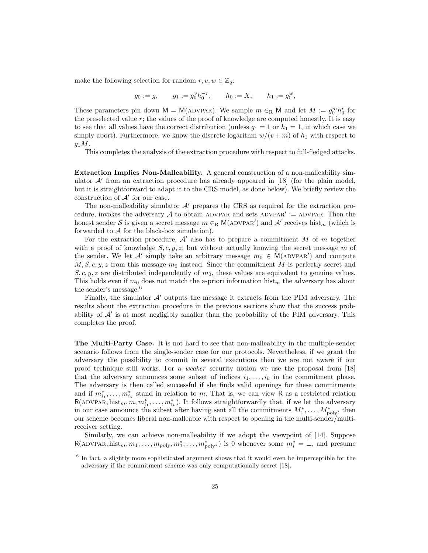make the following selection for random  $r, v, w \in \mathbb{Z}_q$ :

$$
g_0:=g, \qquad g_1:=g_0^vh_0^{-r}, \qquad h_0:=X, \qquad h_1:=g_0^w,
$$

These parameters pin down  $M = M(ADVPAR)$ . We sample  $m \in_R M$  and let  $M := g_0^m h_0^r$  for the preselected value  $r$ ; the values of the proof of knowledge are computed honestly. It is easy to see that all values have the correct distribution (unless  $g_1 = 1$  or  $h_1 = 1$ , in which case we simply abort). Furthermore, we know the discrete logarithm  $w/(v+m)$  of  $h_1$  with respect to  $g_1M$ .

This completes the analysis of the extraction procedure with respect to full-fledged attacks.

Extraction Implies Non-Malleability. A general construction of a non-malleability simulator  $A'$  from an extraction procedure has already appeared in [18] (for the plain model, but it is straightforward to adapt it to the CRS model, as done below). We briefly review the construction of  $A'$  for our case.

The non-malleability simulator  $\mathcal{A}^{\prime}$  prepares the CRS as required for the extraction procedure, invokes the adversary  $A$  to obtain ADVPAR and sets ADVPAR' := ADVPAR. Then the honest sender S is given a secret message  $m \in_R M(ADVPAR')$  and  $\mathcal{A}'$  receives hist<sub>m</sub> (which is forwarded to  $A$  for the black-box simulation).

For the extraction procedure,  $\mathcal{A}'$  also has to prepare a commitment M of m together with a proof of knowledge  $S, c, y, z$ , but without actually knowing the secret message m of the sender. We let A' simply take an arbitrary message  $m_0 \in M(ADVPAR')$  and compute  $M, S, c, y, z$  from this message  $m_0$  instead. Since the commitment M is perfectly secret and  $S, c, y, z$  are distributed independently of  $m_0$ , these values are equivalent to genuine values. This holds even if  $m_0$  does not match the a-priori information hist<sub>m</sub> the adversary has about the sender's message.<sup>6</sup>

Finally, the simulator  $\mathcal{A}'$  outputs the message it extracts from the PIM adversary. The results about the extraction procedure in the previous sections show that the success probability of  $A'$  is at most negligibly smaller than the probability of the PIM adversary. This completes the proof.

The Multi-Party Case. It is not hard to see that non-malleability in the multiple-sender scenario follows from the single-sender case for our protocols. Nevertheless, if we grant the adversary the possibility to commit in several executions then we are not aware if our proof technique still works. For a weaker security notion we use the proposal from [18] that the adversary announces some subset of indices  $i_1, \ldots, i_k$  in the commitment phase. The adversary is then called successful if she finds valid openings for these commitments and if  $m^*_{i_1}, \ldots, m^*_{i_k}$  stand in relation to m. That is, we can view R as a restricted relation  $R(\text{ADVPAR}, \text{hist}_m, m, m_{i_1}^*, \ldots, m_{i_k}^*)$ . It follows straightforwardly that, if we let the adversary in our case announce the subset after having sent all the commitments  $M_1^*, \ldots, M_{\text{poly}}^*$ , then our scheme becomes liberal non-malleable with respect to opening in the multi-sender/multireceiver setting.

Similarly, we can achieve non-malleability if we adopt the viewpoint of [14]. Suppose  $R(\text{ADVPAR}, \text{hist}_m, m_1, \ldots, m_{\text{poly}}, m_1^*, \ldots, m_{\text{poly}^*})$  is 0 whenever some  $m_i^* = \perp$ , and presume

<sup>&</sup>lt;sup>6</sup> In fact, a slightly more sophisticated argument shows that it would even be imperceptible for the adversary if the commitment scheme was only computationally secret [18].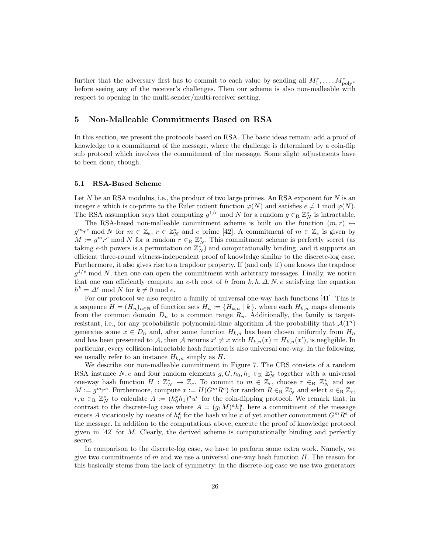further that the adversary first has to commit to each value by sending all  $M_1^*, \ldots, M_{\text{poly}^*}^*$ before seeing any of the receiver's challenges. Then our scheme is also non-malleable with respect to opening in the multi-sender/multi-receiver setting.

## 5 Non-Malleable Commitments Based on RSA

In this section, we present the protocols based on RSA. The basic ideas remain: add a proof of knowledge to a commitment of the message, where the challenge is determined by a coin-flip sub protocol which involves the commitment of the message. Some slight adjustments have to been done, though.

#### 5.1 RSA-Based Scheme

Let N be an RSA modulus, i.e., the product of two large primes. An RSA exponent for N is an integer e which is co-prime to the Euler totient function  $\varphi(N)$  and satisfies  $e \neq 1 \mod \varphi(N)$ . The RSA assumption says that computing  $g^{1/e}$  mod N for a random  $g \in_R \mathbb{Z}_N^*$  is intractable.

The RSA-based non-malleable commitment scheme is built on the function  $(m, r) \mapsto$  $g^{m}r^{e}$  mod N for  $m \in \mathbb{Z}_{e}$ ,  $r \in \mathbb{Z}_{N}^{*}$  and e prime [42]. A commitment of  $m \in \mathbb{Z}_{e}$  is given by  $M := g^m r^e \mod N$  for a random  $r \in_R \mathbb{Z}_N^*$ . This commitment scheme is perfectly secret (as taking e-th powers is a permutation on  $\mathbb{Z}_N^*$  and computationally binding, and it supports an efficient three-round witness-independent proof of knowledge similar to the discrete-log case. Furthermore, it also gives rise to a trapdoor property. If (and only if) one knows the trapdoor  $g^{1/e}$  mod N, then one can open the commitment with arbitrary messages. Finally, we notice that one can efficiently compute an e-th root of h from k, h,  $\Delta$ , N, e satisfying the equation  $h^k = \Delta^e \mod N$  for  $k \neq 0 \mod e$ .

For our protocol we also require a family of universal one-way hash functions [41]. This is a sequence  $H = (H_n)_{n \in \mathbb{N}}$  of function sets  $H_n := \{H_{k,n} \mid k\}$ , where each  $H_{k,n}$  maps elements from the common domain  $D_n$  to a common range  $R_n$ . Additionally, the family is targetresistant, i.e., for any probabilistic polynomial-time algorithm  $\mathcal A$  the probability that  $\mathcal A(1^n)$ generates some  $x \in D_n$  and, after some function  $H_{k,n}$  has been chosen uniformly from  $H_n$ and has been presented to A, then A returns  $x' \neq x$  with  $H_{k,n}(x) = H_{k,n}(x')$ , is negligible. In particular, every collision-intractable hash function is also universal one-way. In the following, we usually refer to an instance  $H_{k,n}$  simply as  $H$ .

We describe our non-malleable commitment in Figure 7. The CRS consists of a random RSA instance N, e and four random elements  $g, G, h_0, h_1 \in_R \mathbb{Z}_N^*$  together with a universal one-way hash function  $H: \mathbb{Z}_N^* \to \mathbb{Z}_e$ . To commit to  $m \in \mathbb{Z}_e$ , choose  $r \in_R \mathbb{Z}_N^*$  and set  $M := g^{m} r^{e}$ . Furthermore, compute  $x := H(G^{m} R^{e})$  for random  $R \in_{R} \mathbb{Z}_{N}^{*}$  and select  $a \in_{R} \mathbb{Z}_{e}$ ,  $r, u \in_R \mathbb{Z}_N^*$  to calculate  $A := (h_0^x h_1)^a u^e$  for the coin-flipping protocol. We remark that, in contrast to the discrete-log case where  $A = (g_1 M)^a h_1^u$ , here a commitment of the message enters A vicariously by means of  $h_0^x$  for the hash value x of yet another commitment  $G^m R^e$  of the message. In addition to the computations above, execute the proof of knowledge protocol given in  $[42]$  for M. Clearly, the derived scheme is computationally binding and perfectly secret.

In comparison to the discrete-log case, we have to perform some extra work. Namely, we give two commitments of  $m$  and we use a universal one-way hash function  $H$ . The reason for this basically stems from the lack of symmetry: in the discrete-log case we use two generators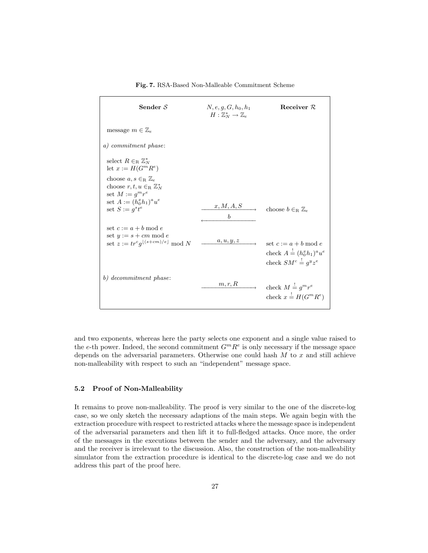Fig. 7. RSA-Based Non-Malleable Commitment Scheme

| Sender $S$                                                                                      | $N, e, q, G, h_0, h_1$<br>$H: \mathbb{Z}_N^* \to \mathbb{Z}_e$ | Receiver $R$                                                                                    |
|-------------------------------------------------------------------------------------------------|----------------------------------------------------------------|-------------------------------------------------------------------------------------------------|
| message $m \in \mathbb{Z}_e$                                                                    |                                                                |                                                                                                 |
| a) commitment phase:                                                                            |                                                                |                                                                                                 |
| select $R \in_R \mathbb{Z}_N^*$<br>let $x := H(G^m R^e)$                                        |                                                                |                                                                                                 |
| choose $a, s \in_R \mathbb{Z}_e$<br>choose $r, t, u \in_R \mathbb{Z}_N^*$<br>set $M := q^m r^e$ |                                                                |                                                                                                 |
| set $A := (h_0^x h_1)^a u^e$<br>set $S := g^s t^e$                                              | $\frac{x, M, A, S}{b}$                                         | choose $b \in_R \mathbb{Z}_e$                                                                   |
| set $c := a + b \mod e$                                                                         |                                                                |                                                                                                 |
| set $y := s + cm \mod e$<br>set $z := tr^c q^{\lfloor (s+cm)/e \rfloor} \mod N$                 | a, u, y, z                                                     | set $c := a + b \mod e$<br>check $A = (h_0^x h_1)^a u^e$<br>check $SM^c \stackrel{!}{=} q^yz^e$ |
| b) decommitment phase:                                                                          | m, r, R                                                        | check $M = g^m r^e$<br>check $x = H(G^m R^e)$                                                   |

and two exponents, whereas here the party selects one exponent and a single value raised to the e-th power. Indeed, the second commitment  $G^m R^e$  is only necessary if the message space depends on the adversarial parameters. Otherwise one could hash  $M$  to  $x$  and still achieve non-malleability with respect to such an "independent" message space.

### 5.2 Proof of Non-Malleability

It remains to prove non-malleability. The proof is very similar to the one of the discrete-log case, so we only sketch the necessary adaptions of the main steps. We again begin with the extraction procedure with respect to restricted attacks where the message space is independent of the adversarial parameters and then lift it to full-fledged attacks. Once more, the order of the messages in the executions between the sender and the adversary, and the adversary and the receiver is irrelevant to the discussion. Also, the construction of the non-malleability simulator from the extraction procedure is identical to the discrete-log case and we do not address this part of the proof here.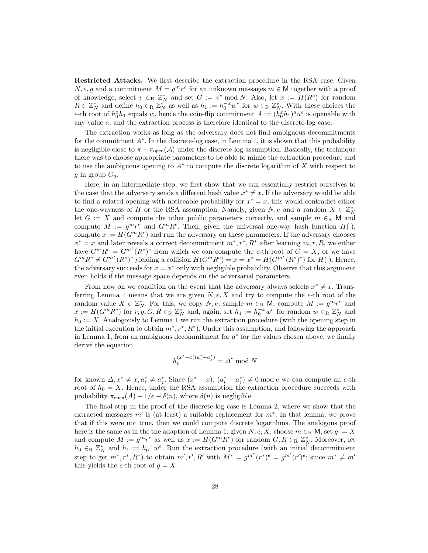Restricted Attacks. We first describe the extraction procedure in the RSA case. Given  $N, e, g$  and a commitment  $M = g^m r^e$  for an unknown messages  $m \in M$  together with a proof of knowledge, select  $v \in_R \mathbb{Z}_N^*$  and set  $G := v^e \mod N$ . Also, let  $x := H(R^e)$  for random  $R \in \mathbb{Z}_N^*$  and define  $h_0 \in_R \mathbb{Z}_N^*$  as well as  $h_1 := h_0^{-x} w^e$  for  $w \in_R \mathbb{Z}_N^*$ . With these choices the e-th root of  $h_0^x h_1$  equals w, hence the coin-flip commitment  $A := (h_0^x h_1)^a u^e$  is openable with any value a, and the extraction process is therefore identical to the discrete-log case.

The extraction works as long as the adversary does not find ambiguous decommitments for the commitment  $A^*$ . In the discrete-log case, in Lemma 1, it is shown that this probability is negligible close to  $\pi - \pi_{open}(\mathcal{A})$  under the discrete-log assumption. Basically, the technique there was to choose appropriate parameters to be able to mimic the extraction procedure and to use the ambiguous opening to  $A^*$  to compute the discrete logarithm of X with respect to g in group  $G_q$ .

Here, in an intermediate step, we first show that we can essentially restrict ourselves to the case that the adversary sends a different hash value  $x^* \neq x$ . If the adversary would be able to find a related opening with noticeable probability for  $x^* = x$ , this would contradict either the one-wayness of H or the RSA assumption. Namely, given  $N, e$  and a random  $X \in \mathbb{Z}_N^*$ let  $G := X$  and compute the other public parameters correctly, and sample  $m \in_R M$  and compute  $M := g^m r^e$  and  $G^m R^e$ . Then, given the universal one-way hash function  $H(\cdot)$ , compute  $x := H(G^m R^e)$  and run the adversary on these parameters. If the adversary chooses  $x^* = x$  and later reveals a correct decommitment  $m^*$ ,  $r^*$ ,  $R^*$  after learning  $m, r, R$ , we either have  $G^m R^e = G^{m^*}(R^*)^e$  from which we can compute the e-th root of  $G = X$ , or we have  $G^m R^e \neq G^{m^*}(R^*)^e$  yielding a collision  $H(G^m R^e) = x = x^* = H(G^{m^*}(R^*)^e)$  for  $H(\cdot)$ . Hence, the adversary succeeds for  $x = x^*$  only with negligible probability. Observe that this argument even holds if the message space depends on the adversarial parameters.

From now on we condition on the event that the adversary always selects  $x^* \neq x$ . Transferring Lemma 1 means that we are given  $N, e, X$  and try to compute the e-th root of the random value  $X \in \mathbb{Z}_N^*$ . For this, we copy  $N, e$ , sample  $m \in_R M$ , compute  $M := g^m r^e$  and  $x := H(G^m R^e)$  for  $r, g, G, R \in_R \mathbb{Z}_N^*$  and, again, set  $h_1 := h_0^{-x} w^e$  for random  $w \in_R \mathbb{Z}_N^*$  and  $h_0 := X$ . Analogously to Lemma 1 we run the extraction procedure (with the opening step in the initial execution to obtain  $m^*, r^*, R^*$ ). Under this assumption, and following the approach in Lemma 1, from an ambiguous decommitment for  $a^*$  for the values chosen above, we finally derive the equation

$$
h_0^{(x^*-x)(a_i^*-a_j^*)}=\varDelta^e\bmod N
$$

for known  $\Delta, x^* \neq x, a_i^* \neq a_j^*$ . Since  $(x^* - x), (a_i^* - a_j^*) \neq 0 \text{ mod } e$  we can compute an e-th root of  $h_0 = X$ . Hence, under the RSA assumption the extraction procedure succeeds with probability  $\pi_{\text{open}}(\mathcal{A}) - 1/e - \delta(n)$ , where  $\delta(n)$  is negligible.

The final step in the proof of the discrete-log case is Lemma 2, where we show that the extracted messages  $m'$  is (at least) a suitable replacement for  $m^*$ . In that lemma, we prove that if this were not true, then we could compute discrete logarithms. The analogous proof here is the same as in the the adaption of Lemma 1: given  $N, e, X$ , choose  $m \in_R M$ , set  $g := X$ and compute  $M := g^m r^e$  as well as  $x := H(G^m R^e)$  for random  $G, R \in_R \mathbb{Z}_N^*$ . Moreover, let  $h_0 \in_R \mathbb{Z}_N^*$  and  $h_1 := h_0^{-x}w^e$ . Run the extraction procedure (with an initial decommitment step to get  $m^*, r^*, R^*$  to obtain  $m', r', R'$  with  $M^* = g^{m^*}(r^*)^e = g^{m'}(r')^e$ ; since  $m^* \neq m'$ this yields the e-th root of  $q = X$ .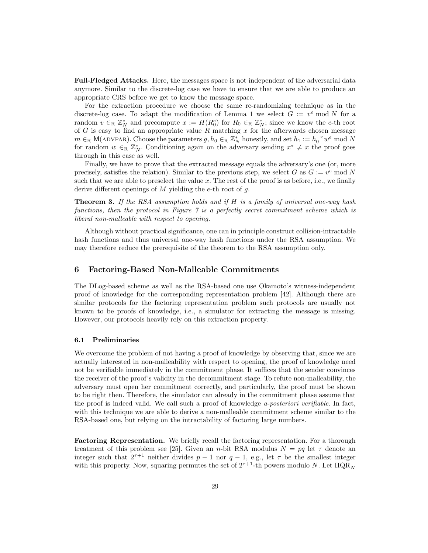Full-Fledged Attacks. Here, the messages space is not independent of the adversarial data anymore. Similar to the discrete-log case we have to ensure that we are able to produce an appropriate CRS before we get to know the message space.

For the extraction procedure we choose the same re-randomizing technique as in the discrete-log case. To adapt the modification of Lemma 1 we select  $G := v^e \mod N$  for a random  $v \in_R \mathbb{Z}_N^*$  and precompute  $x := H(R_0^e)$  for  $R_0 \in_R \mathbb{Z}_N^*$ ; since we know the e-th root of G is easy to find an appropriate value R matching  $x$  for the afterwards chosen message  $m \in_R M(ADVPAR)$ . Choose the parameters  $g, h_0 \in_R \mathbb{Z}_N^*$  honestly, and set  $h_1 := h_0^{-x}w^e \mod N$ for random  $w \in_R \mathbb{Z}_N^*$ . Conditioning again on the adversary sending  $x^* \neq x$  the proof goes through in this case as well.

Finally, we have to prove that the extracted message equals the adversary's one (or, more precisely, satisfies the relation). Similar to the previous step, we select G as  $G := v^e \mod N$ such that we are able to preselect the value  $x$ . The rest of the proof is as before, i.e., we finally derive different openings of M yielding the e-th root of  $q$ .

**Theorem 3.** If the RSA assumption holds and if H is a family of universal one-way hash functions, then the protocol in Figure  $\gamma$  is a perfectly secret commitment scheme which is liberal non-malleable with respect to opening.

Although without practical significance, one can in principle construct collision-intractable hash functions and thus universal one-way hash functions under the RSA assumption. We may therefore reduce the prerequisite of the theorem to the RSA assumption only.

### 6 Factoring-Based Non-Malleable Commitments

The DLog-based scheme as well as the RSA-based one use Okamoto's witness-independent proof of knowledge for the corresponding representation problem [42]. Although there are similar protocols for the factoring representation problem such protocols are usually not known to be proofs of knowledge, i.e., a simulator for extracting the message is missing. However, our protocols heavily rely on this extraction property.

#### 6.1 Preliminaries

We overcome the problem of not having a proof of knowledge by observing that, since we are actually interested in non-malleability with respect to opening, the proof of knowledge need not be verifiable immediately in the commitment phase. It suffices that the sender convinces the receiver of the proof's validity in the decommitment stage. To refute non-malleability, the adversary must open her commitment correctly, and particularly, the proof must be shown to be right then. Therefore, the simulator can already in the commitment phase assume that the proof is indeed valid. We call such a proof of knowledge a-posteriori verifiable. In fact, with this technique we are able to derive a non-malleable commitment scheme similar to the RSA-based one, but relying on the intractability of factoring large numbers.

Factoring Representation. We briefly recall the factoring representation. For a thorough treatment of this problem see [25]. Given an n-bit RSA modulus  $N = pq$  let  $\tau$  denote an integer such that  $2^{\tau+1}$  neither divides  $p-1$  nor  $q-1$ , e.g., let  $\tau$  be the smallest integer with this property. Now, squaring permutes the set of  $2^{\tau+1}$ -th powers modulo N. Let  $\text{HQR}_N$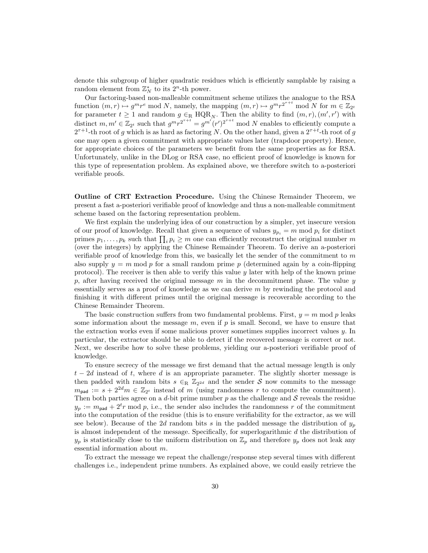denote this subgroup of higher quadratic residues which is efficiently samplable by raising a random element from  $\mathbb{Z}_N^*$  to its  $2^n$ -th power.

Our factoring-based non-malleable commitment scheme utilizes the analogue to the RSA function  $(m, r) \mapsto g^m r^e \mod N$ , namely, the mapping  $(m, r) \mapsto g^m r^{2^{r+t}} \mod N$  for  $m \in \mathbb{Z}_{2^t}$ for parameter  $t \ge 1$  and random  $g \in_R \text{HQR}_N$ . Then the ability to find  $(m, r), (m', r')$  with distinct  $m, m' \in \mathbb{Z}_{2^t}$  such that  $g^m r^{2^{\tau+t}} = g^{m'} (r')^{2^{\tau+t}}$  mod N enables to efficiently compute a  $2^{\tau+1}$ -th root of g which is as hard as factoring N. On the other hand, given a  $2^{\tau+t}$ -th root of g one may open a given commitment with appropriate values later (trapdoor property). Hence, for appropriate choices of the parameters we benefit from the same properties as for RSA. Unfortunately, unlike in the DLog or RSA case, no efficient proof of knowledge is known for this type of representation problem. As explained above, we therefore switch to a-posteriori verifiable proofs.

Outline of CRT Extraction Procedure. Using the Chinese Remainder Theorem, we present a fast a-posteriori verifiable proof of knowledge and thus a non-malleable commitment scheme based on the factoring representation problem.

We first explain the underlying idea of our construction by a simpler, yet insecure version of our proof of knowledge. Recall that given a sequence of values  $y_{p_i} = m \mod p_i$  for distinct primes  $p_1, \ldots, p_k$  such that  $\prod_i p_i \geq m$  one can efficiently reconstruct the original number m (over the integers) by applying the Chinese Remainder Theorem. To derive an a-posteriori verifiable proof of knowledge from this, we basically let the sender of the commitment to m also supply  $y = m \mod p$  for a small random prime p (determined again by a coin-flipping protocol). The receiver is then able to verify this value y later with help of the known prime p, after having received the original message  $m$  in the decommitment phase. The value  $y$ essentially serves as a proof of knowledge as we can derive  $m$  by rewinding the protocol and finishing it with different primes until the original message is recoverable according to the Chinese Remainder Theorem.

The basic construction suffers from two fundamental problems. First,  $y = m \mod p$  leaks some information about the message  $m$ , even if  $p$  is small. Second, we have to ensure that the extraction works even if some malicious prover sometimes supplies incorrect values y. In particular, the extractor should be able to detect if the recovered message is correct or not. Next, we describe how to solve these problems, yielding our a-posteriori verifiable proof of knowledge.

To ensure secrecy of the message we first demand that the actual message length is only  $t - 2d$  instead of t, where d is an appropriate parameter. The slightly shorter message is then padded with random bits  $s \in_R \mathbb{Z}_{2^{2d}}$  and the sender S now commits to the message  $m_{\text{pad}} := s + 2^{2d}m \in \mathbb{Z}_{2^t}$  instead of m (using randomness r to compute the commitment). Then both parties agree on a d-bit prime number  $p$  as the challenge and  $S$  reveals the residue  $y_p := m_{\text{pad}} + 2^t r \mod p$ , i.e., the sender also includes the randomness r of the commitment into the computation of the residue (this is to ensure verifiability for the extractor, as we will see below). Because of the 2d random bits s in the padded message the distribution of  $y_p$ is almost independent of the message. Specifically, for superlogarithmic  $d$  the distribution of  $y_p$  is statistically close to the uniform distribution on  $\mathbb{Z}_p$  and therefore  $y_p$  does not leak any essential information about m.

To extract the message we repeat the challenge/response step several times with different challenges i.e., independent prime numbers. As explained above, we could easily retrieve the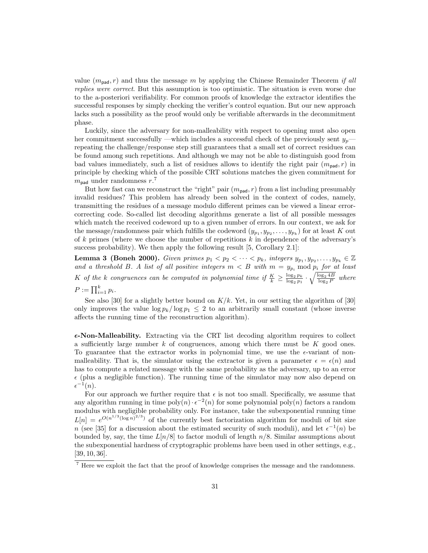value  $(m_{\text{pad}}, r)$  and thus the message m by applying the Chinese Remainder Theorem if all replies were correct. But this assumption is too optimistic. The situation is even worse due to the a-posteriori verifiability. For common proofs of knowledge the extractor identifies the successful responses by simply checking the verifier's control equation. But our new approach lacks such a possibility as the proof would only be verifiable afterwards in the decommitment phase.

Luckily, since the adversary for non-malleability with respect to opening must also open her commitment successfully —which includes a successful check of the previously sent  $y_p$  repeating the challenge/response step still guarantees that a small set of correct residues can be found among such repetitions. And although we may not be able to distinguish good from bad values immediately, such a list of residues allows to identify the right pair  $(m_{\text{pad}}, r)$  in principle by checking which of the possible CRT solutions matches the given commitment for  $m_{\text{pad}}$  under randomness  $r.^7$ 

But how fast can we reconstruct the "right" pair  $(m_{pad}, r)$  from a list including presumably invalid residues? This problem has already been solved in the context of codes, namely, transmitting the residues of a message modulo different primes can be viewed a linear errorcorrecting code. So-called list decoding algorithms generate a list of all possible messages which match the received codeword up to a given number of errors. In our context, we ask for the message/randomness pair which fulfills the codeword  $(y_{p_1}, y_{p_2}, \ldots, y_{p_k})$  for at least K out of k primes (where we choose the number of repetitions  $k$  in dependence of the adversary's success probability). We then apply the following result [5, Corollary 2.1]:

**Lemma 3 (Boneh 2000).** Given primes  $p_1 < p_2 < \cdots < p_k$ , integers  $y_{p_1}, y_{p_2}, \ldots, y_{p_k} \in \mathbb{Z}$ and a threshold B. A list of all positive integers  $m < B$  with  $m = y_{p_i} \mod p_i$  for at least K of the k congruences can be computed in polynomial time if  $\frac{K}{k} \geq \frac{\log_2 p_k}{\log_2 p_1}$  $\frac{\log_2 p_k}{\log_2 p_1} \cdot \sqrt{\frac{\log_2 4B}{\log_2 P}}$  $\frac{\log_2 4B}{\log_2 P}$  where  $P := \prod_{i=1}^{k} p_i$ .

See also [30] for a slightly better bound on  $K/k$ . Yet, in our setting the algorithm of [30] only improves the value  $\log p_k / \log p_1 \leq 2$  to an arbitrarily small constant (whose inverse affects the running time of the reconstruction algorithm).

 $\epsilon$ -Non-Malleability. Extracting via the CRT list decoding algorithm requires to collect a sufficiently large number  $k$  of congruences, among which there must be  $K$  good ones. To guarantee that the extractor works in polynomial time, we use the  $\epsilon$ -variant of nonmalleability. That is, the simulator using the extractor is given a parameter  $\epsilon = \epsilon(n)$  and has to compute a related message with the same probability as the adversary, up to an error  $\epsilon$  (plus a negligible function). The running time of the simulator may now also depend on  $\epsilon^{-1}(n)$ .

For our approach we further require that  $\epsilon$  is not too small. Specifically, we assume that any algorithm running in time  $poly(n) \cdot \epsilon^{-2}(n)$  for some polynomial  $poly(n)$  factors a random modulus with negligible probability only. For instance, take the subexponential running time  $L[n] = e^{O(n^{1/3}(\log n)^{2/3})}$  of the currently best factorization algorithm for moduli of bit size n (see [35] for a discussion about the estimated security of such moduli), and let  $\epsilon^{-1}(n)$  be bounded by, say, the time  $L[n/8]$  to factor moduli of length  $n/8$ . Similar assumptions about the subexponential hardness of cryptographic problems have been used in other settings, e.g., [39, 10, 36].

<sup>7</sup> Here we exploit the fact that the proof of knowledge comprises the message and the randomness.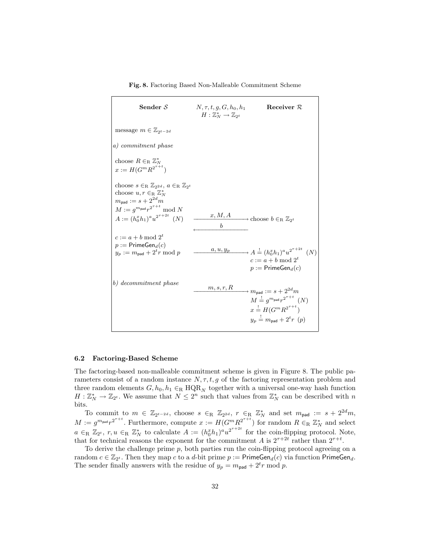Fig. 8. Factoring Based Non-Malleable Commitment Scheme

Sender S  $N, \tau, t, g, G, h_0, h_1$  Receiver R  $H: \mathbb{Z}_N^* \to \mathbb{Z}_{2^t}$ message  $m \in \mathbb{Z}_{2^{t-2d}}$ a) commitment phase choose  $R \in_R \mathbb{Z}_N^*$  $x := H(G^m R^{2^{r+t}})$ choose  $s \in \mathbb{R} \mathbb{Z}_{2^{2d}}, a \in \mathbb{R} \mathbb{Z}_{2^t}$ choose  $u, r \in \overline{\mathbb{Z}}_N^*$  $m_{\rm pad} := s + 2^{2d}m$  $M:=g^{m_{\mathsf{pad}}}r^{2^{\tau+t}}\bmod N$  $A := (h_0^x h_1)^a u^{2^{\tau+2t}}$  $(N)$  $\frac{x, M, A}{b}$  choose  $b \in_R \mathbb{Z}_{2^t}$  $\overline{b}$  ←  $c := a + b \mod 2^t$  $p := \mathsf{PrimeGen}_d(c)$  $y_p := m_{\text{pad}} + 2^t r \bmod p$  $a, u, y_p$  $=(h_0^x h_1)^a u^{2^{\tau+2t}}$  $(N)$  $c := a + b \mod 2^t$  $p := \mathsf{PrimeGen}_d(c)$ b) decommitment phase  $m, s, r, R \longrightarrow m_{\text{pad}} := s + 2^{2d} m$  $M \stackrel{!}{=} g^{m_{\sf pad}} r^{2^{\tau+t}} \ \ (N)$  $x = H(G^m R^{2^{r+t}})$  $y_p \stackrel{!}{=} m_{\text{pad}} + 2^t r (p)$ 

#### 6.2 Factoring-Based Scheme

The factoring-based non-malleable commitment scheme is given in Figure 8. The public parameters consist of a random instance  $N, \tau, t, g$  of the factoring representation problem and three random elements  $G, h_0, h_1 \in_R \text{HQR}_N$  together with a universal one-way hash function  $H: \mathbb{Z}_N^* \to \mathbb{Z}_{2^t}$ . We assume that  $N \leq 2^n$  such that values from  $\mathbb{Z}_N^*$  can be described with n bits.

To commit to  $m \in \mathbb{Z}_{2^{t-2d}}$ , choose  $s \in_R \mathbb{Z}_{2^{2d}}$ ,  $r \in_R \mathbb{Z}_N^*$  and set  $m_{\text{pad}} := s + 2^{2d}m$ ,  $M := g^{m_{\text{pad}}} r^{2^{\tau+t}}$ . Furthermore, compute  $x := H(G^m R^{2^{\tau+t}})$  for random  $R \in R \mathbb{Z}_N^*$  and select  $a \in_R \mathbb{Z}_{2^t}$ ,  $r, u \in_R \mathbb{Z}_N^*$  to calculate  $A := (h_0^x h_1)^a u^{2^{\tau+2t}}$  for the coin-flipping protocol. Note, that for technical reasons the exponent for the commitment A is  $2^{\tau+2t}$  rather than  $2^{\tau+t}$ .

To derive the challenge prime  $p$ , both parties run the coin-flipping protocol agreeing on a random  $c \in \mathbb{Z}_{2^t}$ . Then they map c to a d-bit prime  $p := \mathsf{PrimeGen}_d(c)$  via function  $\mathsf{PrimeGen}_d$ . The sender finally answers with the residue of  $y_p = m_{\text{pad}} + 2^t r \mod p$ .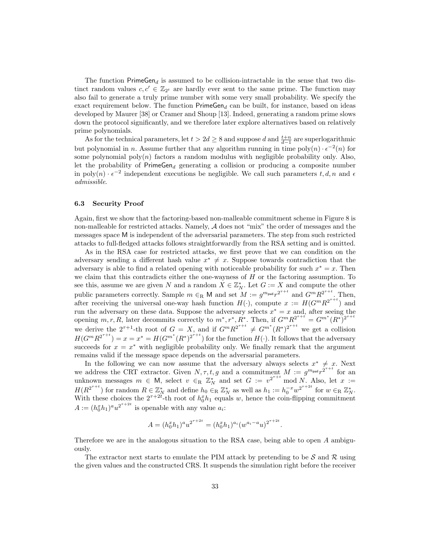The function PrimeGen<sub>d</sub> is assumed to be collision-intractable in the sense that two distinct random values  $c, c' \in \mathbb{Z}_{2^t}$  are hardly ever sent to the same prime. The function may also fail to generate a truly prime number with some very small probability. We specify the exact requirement below. The function  $PrimeGen_d$  can be built, for instance, based on ideas developed by Maurer [38] or Cramer and Shoup [13]. Indeed, generating a random prime slows down the protocol significantly, and we therefore later explore alternatives based on relatively prime polynomials.

As for the technical parameters, let  $t > 2d \geq 8$  and suppose d and  $\frac{t+n}{d-1}$  are superlogarithmic but polynomial in n. Assume further that any algorithm running in time  $poly(n) \cdot \epsilon^{-2}(n)$  for some polynomial  $poly(n)$  factors a random modulus with negligible probability only. Also, let the probability of  $PrimeGen<sub>d</sub>$  generating a collision or producing a composite number in poly $(n) \cdot \epsilon^{-2}$  independent executions be negligible. We call such parameters  $t, d, n$  and  $\epsilon$ admissible.

### 6.3 Security Proof

Again, first we show that the factoring-based non-malleable commitment scheme in Figure 8 is non-malleable for restricted attacks. Namely,  $A$  does not "mix" the order of messages and the messages space M is independent of the adversarial parameters. The step from such restricted attacks to full-fledged attacks follows straightforwardly from the RSA setting and is omitted.

As in the RSA case for restricted attacks, we first prove that we can condition on the adversary sending a different hash value  $x^* \neq x$ . Suppose towards contradiction that the adversary is able to find a related opening with noticeable probability for such  $x^* = x$ . Then we claim that this contradicts either the one-wayness of  $H$  or the factoring assumption. To see this, assume we are given N and a random  $X \in \mathbb{Z}_N^*$ . Let  $G := X$  and compute the other public parameters correctly. Sample  $m \in_R M$  and set  $M := g^{m_{pad}} r^{2^{\tau+t}}$  and  $G^m R^{2^{\tau+t}}$ . Then, after receiving the universal one-way hash function  $H(\cdot)$ , compute  $x := H(G^m R^{2^{r+t}})$  and run the adversary on these data. Suppose the adversary selects  $x^* = x$  and, after seeing the opening  $m, r, R$ , later decommits correctly to  $m^*, r^*, R^*$ . Then, if  $G^m R^{2^{r+t}} = G^{m^*}(R^*)^{2^{r+t}}$ we derive the  $2^{\tau+1}$ -th root of  $G = X$ , and if  $G^m R^{2^{\tau+t}} \neq G^{m^*}(R^*)^{2^{\tau+t}}$  we get a collision  $H(G^mR^{2^{r+t}})=x=x^*=H(G^{m^*}(R^*)^{2^{r+t}})$  for the function  $H(\cdot)$ . It follows that the adversary succeeds for  $x = x^*$  with negligible probability only. We finally remark that the argument remains valid if the message space depends on the adversarial parameters.

In the following we can now assume that the adversary always selects  $x^* \neq x$ . Next we address the CRT extractor. Given  $N, \tau, t, g$  and a commitment  $M := g^{m_{\text{pad}}} r^{2^{\tau+t}}$  for an unknown messages  $m \in M$ , select  $v \in_R \mathbb{Z}_N^*$  and set  $G := v^{2^{\tau+t}} \mod N$ . Also, let  $x :=$  $H(R^{2^{\tau+t}})$  for random  $R \in \mathbb{Z}_N^*$  and define  $h_0 \in_R \mathbb{Z}_N^*$  as well as  $h_1 := h_0^{-x} w^{2^{\tau+2t}}$  for  $w \in_R \mathbb{Z}_N^*$ . With these choices the  $2^{\tau+2t}$ -th root of  $h_0^x h_1$  equals w, hence the coin-flipping commitment  $A := (h_0^x h_1)^a u^{2^{\tau+2t}}$  is openable with any value  $a_i$ :

$$
A = (h_0^x h_1)^a u^{2^{\tau+2t}} = (h_0^x h_1)^{a_i} (w^{a_i - a} u)^{2^{\tau+2t}}.
$$

Therefore we are in the analogous situation to the RSA case, being able to open A ambiguously.

The extractor next starts to emulate the PIM attack by pretending to be  $S$  and  $R$  using the given values and the constructed CRS. It suspends the simulation right before the receiver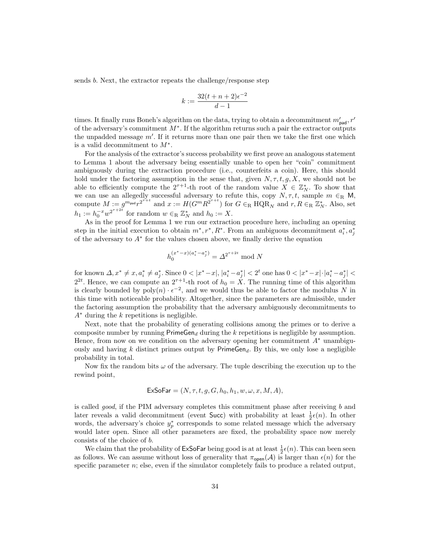sends b. Next, the extractor repeats the challenge/response step

$$
k := \frac{32(t + n + 2)\epsilon^{-2}}{d - 1}
$$

times. It finally runs Boneh's algorithm on the data, trying to obtain a decommitment  $m'_{\text{pad}}$ ,  $r'$ of the adversary's commitment  $M^*$ . If the algorithm returns such a pair the extractor outputs the unpadded message  $m'$ . If it returns more than one pair then we take the first one which is a valid decommitment to  $M^*$ .

For the analysis of the extractor's success probability we first prove an analogous statement to Lemma 1 about the adversary being essentially unable to open her "coin" commitment ambiguously during the extraction procedure (i.e., counterfeits a coin). Here, this should hold under the factoring assumption in the sense that, given  $N, \tau, t, g, X$ , we should not be able to efficiently compute the  $2^{\tau+1}$ -th root of the random value  $X \in \mathbb{Z}_N^*$ . To show that we can use an allegedly successful adversary to refute this, copy  $N, \tau, t$ , sample  $m \in_R M$ , compute  $M := g^{m_{\text{pad}}} r^{2^{r+1}}$  and  $x := H(G^m R^{2^{r+1}})$  for  $G \in_R \text{HQR}_N$  and  $r, R \in_R \mathbb{Z}_N^*$ . Also, set  $h_1 := h_0^{-x} w^{2^{\tau+2t}}$  for random  $w \in_R \mathbb{Z}_N^*$  and  $h_0 := X$ .

As in the proof for Lemma 1 we run our extraction procedure here, including an opening step in the initial execution to obtain  $m^*, r^*, R^*$ . From an ambiguous decommitment  $a_i^*, a_j^*$ of the adversary to A<sup>∗</sup> for the values chosen above, we finally derive the equation

$$
h_0^{(x^*-x)(a_i^*-a_j^*)} = \Delta^{2^{\tau+2t}} \bmod N
$$

for known  $\Delta, x^* \neq x, a_i^* \neq a_j^*$ . Since  $0 < |x^* - x|, |a_i^* - a_j^*| < 2^t$  one has  $0 < |x^* - x| \cdot |a_i^* - a_j^*| <$  $2^{2t}$ . Hence, we can compute an  $2^{\tau+1}$ -th root of  $h_0 = X$ . The running time of this algorithm is clearly bounded by  $poly(n) \cdot \epsilon^{-2}$ , and we would thus be able to factor the modulus N in this time with noticeable probability. Altogether, since the parameters are admissible, under the factoring assumption the probability that the adversary ambiguously decommitments to  $A^*$  during the k repetitions is negligible.

Next, note that the probability of generating collisions among the primes or to derive a composite number by running  $PrimeGen_d$  during the k repetitions is negligible by assumption. Hence, from now on we condition on the adversary opening her commitment  $A^*$  unambiguously and having k distinct primes output by  $PrimeGen_d$ . By this, we only lose a negligible probability in total.

Now fix the random bits  $\omega$  of the adversary. The tuple describing the execution up to the rewind point,

$$
ExSoFar = (N, \tau, t, g, G, h_0, h_1, w, \omega, x, M, A),
$$

is called good, if the PIM adversary completes this commitment phase after receiving b and later reveals a valid decommitment (event Succ) with probability at least  $\frac{1}{2}\epsilon(n)$ . In other words, the adversary's choice  $y_p^*$  corresponds to some related message which the adversary would later open. Since all other parameters are fixed, the probability space now merely consists of the choice of b.

We claim that the probability of  $ExSoFar$  being good is at at least  $\frac{1}{2}\epsilon(n)$ . This can been seen as follows. We can assume without loss of generality that  $\pi_{open}(\mathcal{A})$  is larger than  $\epsilon(n)$  for the specific parameter  $n$ ; else, even if the simulator completely fails to produce a related output,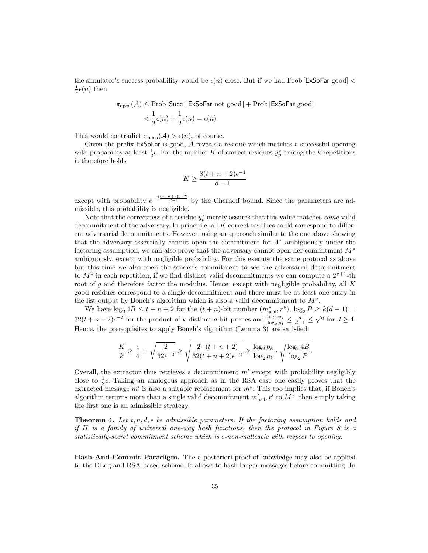the simulator's success probability would be  $\epsilon(n)$ -close. But if we had Prob [ExSoFar good] <  $\frac{1}{2}\epsilon(n)$  then

$$
\begin{aligned} \pi_{\mathsf{open}}(\mathcal{A}) & \leq \mathrm{Prob}\left[\mathsf{Succ} \mid \mathsf{ExSoFar} \text{ not good}\right] + \mathrm{Prob}\left[\mathsf{ExSoFar} \text{ good}\right] \\ & < \frac{1}{2}\epsilon(n) + \frac{1}{2}\epsilon(n) = \epsilon(n) \end{aligned}
$$

This would contradict  $\pi_{open}(\mathcal{A}) > \epsilon(n)$ , of course.

Given the prefix  $ExSoFar$  is good,  $A$  reveals a residue which matches a successful opening with probability at least  $\frac{1}{2}\epsilon$ . For the number K of correct residues  $y_p^*$  among the k repetitions it therefore holds

$$
K \ge \frac{8(t+n+2)\epsilon^{-1}}{d-1}
$$

except with probability  $e^{-2\frac{(t+n+2)\epsilon^{-2}}{d-1}}$  by the Chernoff bound. Since the parameters are admissible, this probability is negligible.

Note that the correctness of a residue  $y_p^*$  merely assures that this value matches *some* valid decommitment of the adversary. In principle, all K correct residues could correspond to different adversarial decommitments. However, using an approach similar to the one above showing that the adversary essentially cannot open the commitment for A<sup>∗</sup> ambiguously under the factoring assumption, we can also prove that the adversary cannot open her commitment  $M^*$ ambiguously, except with negligible probability. For this execute the same protocol as above but this time we also open the sender's commitment to see the adversarial decommitment to  $M^*$  in each repetition; if we find distinct valid decommitments we can compute a  $2^{\tau+1}$ -th root of  $g$  and therefore factor the modulus. Hence, except with negligible probability, all  $K$ good residues correspond to a single decommitment and there must be at least one entry in the list output by Boneh's algorithm which is also a valid decommitment to  $M^*$ .

We have  $\log_2 4B \leq t + n + 2$  for the  $(t + n)$ -bit number  $(m_{\text{pad}}^*, r^*)$ ,  $\log_2 P \geq k(d-1)$  =  $32(t+n+2)\epsilon^{-2}$  for the product of k distinct d-bit primes and  $\frac{\log_2 p_k}{\log_2 p_1} \leq \frac{d}{d-1} \leq$ √ 2 for  $d \geq 4$ . Hence, the prerequisites to apply Boneh's algorithm (Lemma 3) are satisfied:

$$
\frac{K}{k} \ge \frac{\epsilon}{4} = \sqrt{\frac{2}{32\epsilon^{-2}}} \ge \sqrt{\frac{2\cdot(t+n+2)}{32(t+n+2)\epsilon^{-2}}} \ge \frac{\log_2 p_k}{\log_2 p_1} \cdot \sqrt{\frac{\log_2 4B}{\log_2 P}}.
$$

Overall, the extractor thus retrieves a decommitment  $m'$  except with probability negligibly close to  $\frac{1}{2}\epsilon$ . Taking an analogous approach as in the RSA case one easily proves that the extracted message  $m'$  is also a suitable replacement for  $m^*$ . This too implies that, if Boneh's algorithm returns more than a single valid decommitment  $m'_{\text{pad}}$ ,  $r'$  to  $M^*$ , then simply taking the first one is an admissible strategy.

**Theorem 4.** Let t, n, d,  $\epsilon$  be admissible parameters. If the factoring assumption holds and if  $H$  is a family of universal one-way hash functions, then the protocol in Figure 8 is a statistically-secret commitment scheme which is  $\epsilon$ -non-malleable with respect to opening.

Hash-And-Commit Paradigm. The a-posteriori proof of knowledge may also be applied to the DLog and RSA based scheme. It allows to hash longer messages before committing. In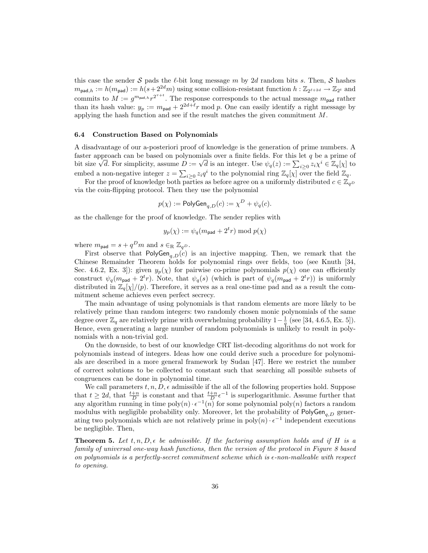this case the sender S pads the  $\ell$ -bit long message m by 2d random bits s. Then, S hashes  $m_{\text{pad},h} := h(m_{\text{pad}}) := h(s + 2^{2d}m)$  using some collision-resistant function  $h : \mathbb{Z}_{2^{e+2d}} \to \mathbb{Z}_{2^t}$  and commits to  $M := g^{m_{\text{pad},h}} r^{2^{\tau+t}}$ . The response corresponds to the actual message  $m_{\text{pad}}$  rather than its hash value:  $y_p := m_{\text{pad}} + 2^{2d+\ell}r \mod p$ . One can easily identify a right message by applying the hash function and see if the result matches the given commitment M.

#### 6.4 Construction Based on Polynomials

A disadvantage of our a-posteriori proof of knowledge is the generation of prime numbers. A faster approach can be based on polynomials over a finite fields. For this let  $q$  be a prime of bit size  $\sqrt{d}$ . For simplicity, assume  $D := \sqrt{d}$  is an integer. Use  $\psi_q(z) := \sum_{i>0} z_i \chi^i \in \mathbb{Z}_q[\chi]$  to embed a non-negative integer  $z = \sum_{i \geq 0} z_i q^i$  to the polynomial ring  $\mathbb{Z}_q[\chi]$  over the field  $\mathbb{Z}_q$ .

For the proof of knowledge both parties as before agree on a uniformly distributed  $c \in \mathbb{Z}_{q^D}$ via the coin-flipping protocol. Then they use the polynomial

$$
p(\chi) := \mathsf{PolyGen}_{q,D}(c) := \chi^D + \psi_q(c).
$$

as the challenge for the proof of knowledge. The sender replies with

$$
y_p(\chi) := \psi_q(m_{\text{pad}} + 2^t r) \bmod p(\chi)
$$

where  $m_{\text{pad}} = s + q^D m$  and  $s \in_R \mathbb{Z}_{q^D}$ .

First observe that PolyGen<sub>a,D</sub>(c) is an injective mapping. Then, we remark that the Chinese Remainder Theorem holds for polynomial rings over fields, too (see Knuth [34, Sec. 4.6.2, Ex. 3.): given  $y_p(\chi)$  for pairwise co-prime polynomials  $p(\chi)$  one can efficiently construct  $\psi_q(m_{\text{pad}} + 2^t r)$ . Note, that  $\psi_q(s)$  (which is part of  $\psi_q(m_{\text{pad}} + 2^t r)$ ) is uniformly distributed in  $\mathbb{Z}_q[\chi]/(p)$ . Therefore, it serves as a real one-time pad and as a result the commitment scheme achieves even perfect secrecy.

The main advantage of using polynomials is that random elements are more likely to be relatively prime than random integers: two randomly chosen monic polynomials of the same degree over  $\mathbb{Z}_q$  are relatively prime with overwhelming probability  $1-\frac{1}{q}$  (see [34, 4.6.5, Ex. 5]). Hence, even generating a large number of random polynomials is unlikely to result in polynomials with a non-trivial gcd.

On the downside, to best of our knowledge CRT list-decoding algorithms do not work for polynomials instead of integers. Ideas how one could derive such a procedure for polynomials are described in a more general framework by Sudan [47]. Here we restrict the number of correct solutions to be collected to constant such that searching all possible subsets of congruences can be done in polynomial time.

We call parameters  $t, n, D, \epsilon$  admissible if the all of the following properties hold. Suppose that  $t \geq 2d$ , that  $\frac{t+n}{D}$  is constant and that  $\frac{t+n}{D}e^{-1}$  is superlogarithmic. Assume further that any algorithm running in time  $poly(n) \cdot \epsilon^{-1}(n)$  for some polynomial  $poly(n)$  factors a random modulus with negligible probability only. Moreover, let the probability of PolyGen<sub>a, D</sub> generating two polynomials which are not relatively prime in  $poly(n) \cdot \epsilon^{-1}$  independent executions be negligible. Then,

**Theorem 5.** Let  $t, n, D$ ,  $\epsilon$  be admissible. If the factoring assumption holds and if H is a family of universal one-way hash functions, then the version of the protocol in Figure 8 based on polynomials is a perfectly-secret commitment scheme which is  $\epsilon$ -non-malleable with respect to opening.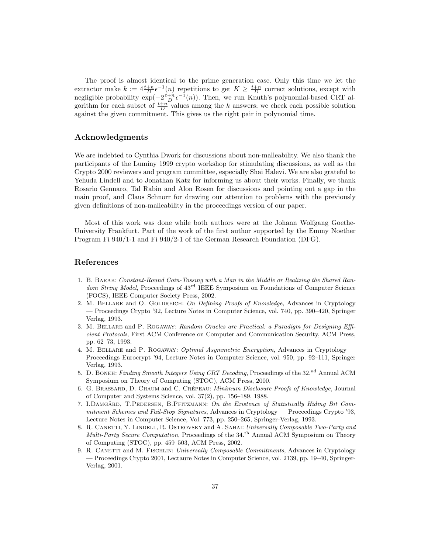The proof is almost identical to the prime generation case. Only this time we let the extractor make  $k := 4 \frac{t+n}{D} \epsilon^{-1}(n)$  repetitions to get  $K \ge \frac{t+n}{D}$  correct solutions, except with negligible probability  $\exp(-2\frac{t+n}{D}\epsilon^{-1}(n))$ . Then, we run Knuth's polynomial-based CRT algorithm for each subset of  $\frac{t+n}{D}$  values among the k answers; we check each possible solution against the given commitment. This gives us the right pair in polynomial time.

# Acknowledgments

We are indebted to Cynthia Dwork for discussions about non-malleability. We also thank the participants of the Luminy 1999 crypto workshop for stimulating discussions, as well as the Crypto 2000 reviewers and program committee, especially Shai Halevi. We are also grateful to Yehuda Lindell and to Jonathan Katz for informing us about their works. Finally, we thank Rosario Gennaro, Tal Rabin and Alon Rosen for discussions and pointing out a gap in the main proof, and Claus Schnorr for drawing our attention to problems with the previously given definitions of non-malleability in the proceedings version of our paper.

Most of this work was done while both authors were at the Johann Wolfgang Goethe-University Frankfurt. Part of the work of the first author supported by the Emmy Noether Program Fi 940/1-1 and Fi 940/2-1 of the German Research Foundation (DFG).

### References

- 1. B. Barak: Constant-Round Coin-Tossing with a Man in the Middle or Realizing the Shared Random String Model, Proceedings of  $43<sup>rd</sup>$  IEEE Symposium on Foundations of Computer Science (FOCS), IEEE Computer Society Press, 2002.
- 2. M. BELLARE and O. GOLDREICH: On Defining Proofs of Knowledge, Advances in Cryptology — Proceedings Crypto '92, Lecture Notes in Computer Science, vol. 740, pp. 390–420, Springer Verlag, 1993.
- 3. M. Bellare and P. Rogaway: Random Oracles are Practical: a Paradigm for Designing Efficient Protocols, First ACM Conference on Computer and Communication Security, ACM Press, pp. 62–73, 1993.
- 4. M. Bellare and P. Rogaway: Optimal Asymmetric Encryption, Advances in Cryptology Proceedings Eurocrypt '94, Lecture Notes in Computer Science, vol. 950, pp. 92–111, Springer Verlag, 1993.
- 5. D. BONEH: Finding Smooth Integers Using CRT Decoding, Proceedings of the 32.<sup>nd</sup> Annual ACM Symposium on Theory of Computing (STOC), ACM Press, 2000.
- 6. G. BRASSARD, D. CHAUM and C. CRÉPEAU: Minimum Disclosure Proofs of Knowledge, Journal of Computer and Systems Science, vol. 37(2), pp. 156–189, 1988.
- 7. I.DAMGÅRD, T.PEDERSEN, B.PFITZMANN: On the Existence of Statistically Hiding Bit Commitment Schemes and Fail-Stop Signatures, Advances in Cryptology — Proceedings Crypto '93, Lecture Notes in Computer Science, Vol. 773, pp. 250–265, Springer-Verlag, 1993.
- 8. R. CANETTI, Y. LINDELL, R. OSTROVSKY and A. SAHAI: Universally Composable Two-Party and Multi-Party Secure Computation, Proceedings of the 34.<sup>th</sup> Annual ACM Symposium on Theory of Computing (STOC), pp. 459–503, ACM Press, 2002.
- 9. R. CANETTI and M. FISCHLIN: Universally Composable Commitments, Advances in Cryptology — Proceedings Crypto 2001, Lectaure Notes in Computer Science, vol. 2139, pp. 19–40, Springer-Verlag, 2001.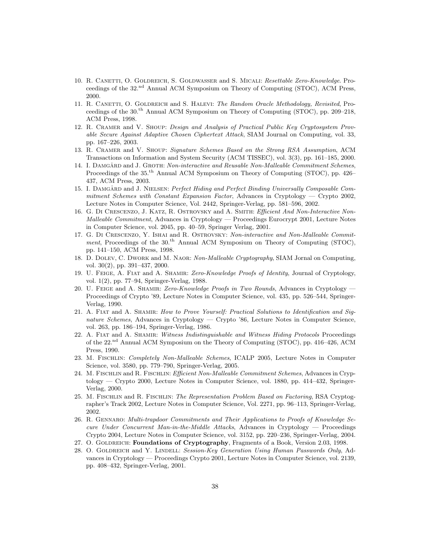- 10. R. CANETTI, O. GOLDREICH, S. GOLDWASSER and S. MICALI: Resettable Zero-Knowledge. Proceedings of the 32. nd Annual ACM Symposium on Theory of Computing (STOC), ACM Press, 2000.
- 11. R. CANETTI, O. GOLDREICH and S. HALEVI: The Random Oracle Methodology, Revisited, Proceedings of the 30. th Annual ACM Symposium on Theory of Computing (STOC), pp. 209–218, ACM Press, 1998.
- 12. R. Cramer and V. Shoup: Design and Analysis of Practical Public Key Cryptosystem Provable Secure Against Adaptive Chosen Ciphertext Attack, SIAM Journal on Computing, vol. 33, pp. 167–226, 2003.
- 13. R. Cramer and V. Shoup: Signature Schemes Based on the Strong RSA Assumption, ACM Transactions on Information and System Security (ACM TISSEC), vol. 3(3), pp. 161–185, 2000.
- 14. I. DAMGÅRD and J. GROTH: Non-interactive and Reusable Non-Malleable Commitment Schemes, Proceedings of the 35.<sup>th</sup> Annual ACM Symposium on Theory of Computing (STOC), pp. 426– 437, ACM Press, 2003.
- 15. I. DAMGÅRD and J. NIELSEN: Perfect Hiding and Perfect Binding Universally Composable Commitment Schemes with Constant Expansion Factor, Advances in Cryptology — Crypto 2002, Lecture Notes in Computer Science, Vol. 2442, Springer-Verlag, pp. 581–596, 2002.
- 16. G. Di Crescenzo, J. Katz, R. Ostrovsky and A. Smith: Efficient And Non-Interactive Non-Malleable Commitment, Advances in Cryptology — Proceedings Eurocrypt 2001, Lecture Notes in Computer Science, vol. 2045, pp. 40–59, Springer Verlag, 2001.
- 17. G. Di Crescenzo, Y. Ishai and R. Ostrovsky: Non-interactive and Non-Malleable Commitment, Proceedings of the 30<sup>th</sup> Annual ACM Symposium on Theory of Computing (STOC), pp. 141–150, ACM Press, 1998.
- 18. D. Dolev, C. Dwork and M. Naor: Non-Malleable Cryptography, SIAM Jornal on Computing, vol. 30(2), pp. 391–437, 2000.
- 19. U. FEIGE, A. FIAT and A. SHAMIR: Zero-Knowledge Proofs of Identity, Journal of Cryptology, vol. 1(2), pp. 77–94, Springer-Verlag, 1988.
- 20. U. FEIGE and A. SHAMIR: Zero-Knowledge Proofs in Two Rounds, Advances in Cryptology Proceedings of Crypto '89, Lecture Notes in Computer Science, vol. 435, pp. 526–544, Springer-Verlag, 1990.
- 21. A. Fiat and A. Shamir: How to Prove Yourself: Practical Solutions to Identification and Signature Schemes, Advances in Cryptology — Crypto '86, Lecture Notes in Computer Science, vol. 263, pp. 186–194, Springer-Verlag, 1986.
- 22. A. FIAT and A. SHAMIR: Witness Indistinguishable and Witness Hiding Protocols Proceedings of the 22.<sup>nd</sup> Annual ACM Symposium on the Theory of Computing (STOC), pp. 416–426, ACM Press, 1990.
- 23. M. FISCHLIN: Completely Non-Malleable Schemes, ICALP 2005, Lecture Notes in Computer Science, vol. 3580, pp. 779–790, Springer-Verlag, 2005.
- 24. M. FISCHLIN and R. FISCHLIN: Efficient Non-Malleable Commitment Schemes, Advances in Cryptology — Crypto 2000, Lecture Notes in Computer Science, vol. 1880, pp. 414–432, Springer-Verlag, 2000.
- 25. M. FISCHLIN and R. FISCHLIN: The Representation Problem Based on Factoring, RSA Cryptographer's Track 2002, Lecture Notes in Computer Science, Vol. 2271, pp. 96–113, Springer-Verlag, 2002.
- 26. R. GENNARO: Multi-trapdoor Commitments and Their Applications to Proofs of Knowledge Secure Under Concurrent Man-in-the-Middle Attacks, Advances in Cryptology — Proceedings Crypto 2004, Lecture Notes in Computer Science, vol. 3152, pp. 220–236, Springer-Verlag, 2004.
- 27. O. GOLDREICH: Foundations of Cryptography, Fragments of a Book, Version 2.03, 1998.
- 28. O. GOLDREICH and Y. LINDELL: Session-Key Generation Using Human Passwords Only, Advances in Cryptology — Proceedings Crypto 2001, Lecture Notes in Computer Science, vol. 2139, pp. 408–432, Springer-Verlag, 2001.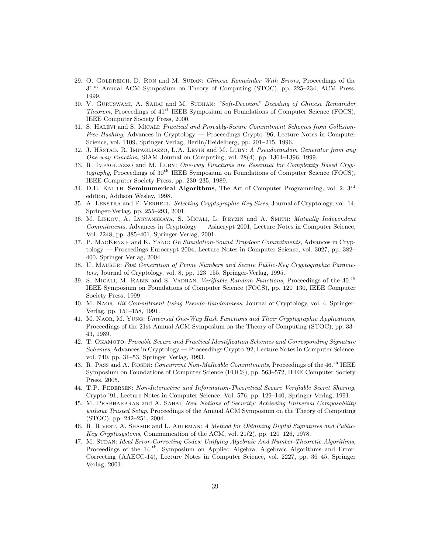- 29. O. GOLDREICH, D. RON and M. SUDAN: Chinese Remainder With Errors, Proceedings of the 31.<sup>st</sup> Annual ACM Symposium on Theory of Computing (STOC), pp. 225–234, ACM Press, 1999.
- 30. V. GURUSWAMI, A. SAHAI and M. SUDHAN: "Soft-Decision" Decoding of Chinese Remainder Theorem, Proceedings of 41<sup>st</sup> IEEE Symposium on Foundations of Computer Science (FOCS), IEEE Computer Society Press, 2000.
- 31. S. Halevi and S. Micali: Practical and Provably-Secure Commitment Schemes from Collision-Free Hashing, Advances in Cryptology — Proceedings Crypto '96, Lecture Notes in Computer Science, vol. 1109, Springer Verlag, Berlin/Heidelberg, pp. 201–215, 1996.
- 32. J. HÅSTAD, R. IMPAGLIAZZO, L.A. LEVIN and M. LUBY: A Pseudorandom Generator from any One-way Function, SIAM Journal on Computing, vol. 28(4), pp. 1364–1396, 1999.
- 33. R. IMPAGLIAZZO and M. LUBY: One-way Functions are Essential for Complexity Based Cryptography, Proceedings of  $30<sup>th</sup>$  IEEE Symposium on Foundations of Computer Science (FOCS), IEEE Computer Society Press, pp. 230–235, 1989.
- 34. D.E. KNUTH: Seminumerical Algorithms, The Art of Computer Programming, vol. 2,  $3<sup>rd</sup>$ edition, Addison Wesley, 1998.
- 35. A. LENSTRA and E. VERHEUL: Selecting Cryptographic Key Sizes, Journal of Cryptology, vol. 14, Springer-Verlag, pp. 255–293, 2001.
- 36. M. Liskov, A. Lysyanskaya, S. Micali, L. Reyzin and A. Smith: Mutually Independent Commitments, Advances in Cryptology — Asiacrypt 2001, Lecture Notes in Computer Science, Vol. 2248, pp. 385–401, Springer-Verlag, 2001.
- 37. P. MacKenzie and K. Yang: On Simulation-Sound Trapdoor Commitments, Advances in Cryptology — Proceedings Eurocrypt 2004, Lecture Notes in Computer Science, vol. 3027, pp. 382– 400, Springer Verlag, 2004.
- 38. U. MAURER: Fast Generation of Prime Numbers and Secure Public-Key Cryptographic Parameters, Journal of Cryptology, vol. 8, pp. 123–155, Springer-Verlag, 1995.
- 39. S. MICALI, M. RABIN and S. VADHAN: Verifiable Random Functions, Proceedings of the 40.<sup>th</sup> IEEE Symposium on Foundations of Computer Science (FOCS), pp. 120–130, IEEE Computer Society Press, 1999.
- 40. M. NAOR: Bit Commitment Using Pseudo-Randomness, Journal of Cryptology, vol. 4, Springer-Verlag, pp. 151–158, 1991.
- 41. M. Naor, M. Yung: Universal One-Way Hash Functions and Their Cryptographic Applications, Proceedings of the 21st Annual ACM Symposium on the Theory of Computing (STOC), pp. 33– 43, 1989.
- 42. T. Okamoto: Provable Secure and Practical Identification Schemes and Corresponding Signature Schemes, Advances in Cryptology — Proceedings Crypto '92, Lecture Notes in Computer Science, vol. 740, pp. 31–53, Springer Verlag, 1993.
- 43. R. PASS and A. ROSEN: Concurrent Non-Malleable Commitments, Proceedings of the 46.<sup>th</sup> IEEE Symposium on Foundations of Computer Science (FOCS), pp. 563–572, IEEE Computer Society Press, 2005.
- 44. T.P. Pedersen: Non-Interactive and Information-Theoretical Secure Verifiable Secret Sharing, Crypto '91, Lecture Notes in Computer Science, Vol. 576, pp. 129–140, Springer-Verlag, 1991.
- 45. M. PRABHAKARAN and A. SAHAI, New Notions of Security: Achieving Universal Composability without Trusted Setup, Proceedings of the Annual ACM Symposium on the Theory of Computing (STOC), pp. 242–251, 2004.
- 46. R. RIVEST, A. SHAMIR and L. ADLEMAN: A Method for Obtaining Digital Signatures and Public-Key Cryptosystems, Communication of the ACM, vol. 21(2), pp. 120–126, 1978.
- 47. M. SUDAN: Ideal Error-Correcting Codes: Unifying Algebraic And Number-Theoretic Algorithms, Proceedings of the 14.<sup>th</sup>. Symposium on Applied Algebra, Algebraic Algorithms and Error-Correcting (AAECC-14), Lecture Notes in Computer Science, vol. 2227, pp. 36–45, Springer Verlag, 2001.